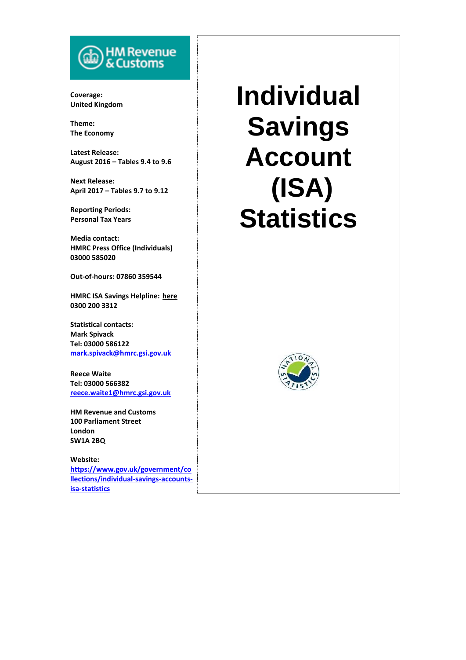# HM Revenue<br>& Customs

**Coverage: United Kingdom**

**Theme: The Economy**

**Latest Release: August 2016 – Tables 9.4 to 9.6**

**Next Release: April 2017 – Tables 9.7 to 9.12**

**Reporting Periods: Personal Tax Years**

**Media contact: HMRC Press Office (Individuals) 03000 585020**

**Out-of-hours: 07860 359544**

**HMRC ISA Savings Helpline: [here](http://search2.hmrc.gov.uk/kb5/hmrc/contactus/view.page?record=agUO91tWzfU) 0300 200 3312**

**Statistical contacts: Mark Spivack Tel: 03000 586122 [mark.spivack@hmrc.gsi.gov.uk](mailto:mark.spivack@hmrc.gsi.gov.uk)**

**Reece Waite Tel: 03000 566382 [reece.waite1@hmrc.gsi.gov.uk](mailto:reece.waite1@hmrc.gsi.gov.uk)**

**HM Revenue and Customs 100 Parliament Street London SW1A 2BQ**

**Website: [https://www.gov.uk/government/co](https://www.gov.uk/government/collections/individual-savings-accounts-isa-statistics) [llections/individual-savings-accounts](https://www.gov.uk/government/collections/individual-savings-accounts-isa-statistics)[isa-statistics](https://www.gov.uk/government/collections/individual-savings-accounts-isa-statistics)**

# **Individual Savings Account (ISA) Statistics**

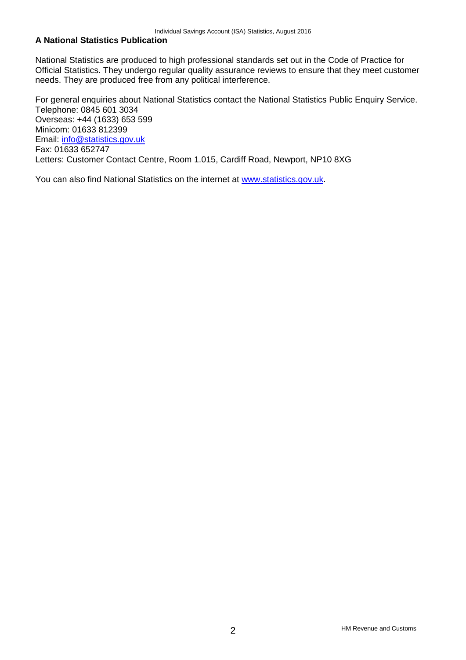# **A National Statistics Publication**

National Statistics are produced to high professional standards set out in the Code of Practice for Official Statistics. They undergo regular quality assurance reviews to ensure that they meet customer needs. They are produced free from any political interference.

For general enquiries about National Statistics contact the National Statistics Public Enquiry Service. Telephone: 0845 601 3034 Overseas: +44 (1633) 653 599 Minicom: 01633 812399 Email: [info@statistics.gov.uk](mailto:info@statistics.gov.uk) Fax: 01633 652747 Letters: Customer Contact Centre, Room 1.015, Cardiff Road, Newport, NP10 8XG

You can also find National Statistics on the internet at [www.statistics.gov.uk.](http://www.statistics.gov.uk/)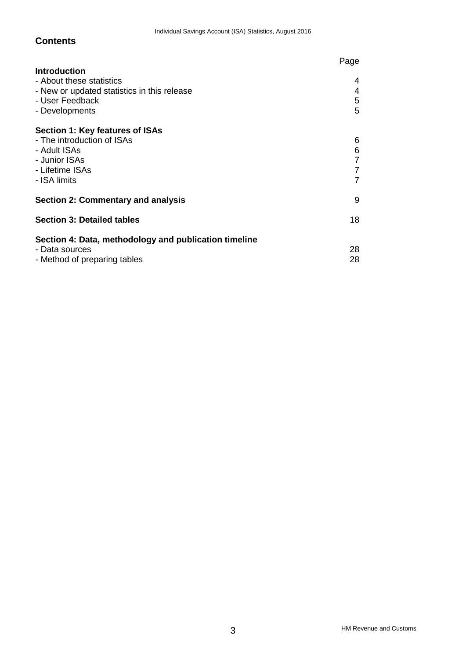# **Contents**

|                                                                                                                                     | Page                                      |
|-------------------------------------------------------------------------------------------------------------------------------------|-------------------------------------------|
| <b>Introduction</b><br>- About these statistics<br>- New or updated statistics in this release<br>- User Feedback<br>- Developments | 4<br>$\overline{4}$<br>5<br>5             |
| Section 1: Key features of ISAs<br>- The introduction of ISAs<br>- Adult ISAs<br>- Junior ISAs<br>- Lifetime ISAs<br>- ISA limits   | 6<br>$\frac{6}{7}$<br>$\overline{7}$<br>7 |
| Section 2: Commentary and analysis                                                                                                  | 9                                         |
| <b>Section 3: Detailed tables</b>                                                                                                   | 18                                        |
| Section 4: Data, methodology and publication timeline<br>- Data sources<br>- Method of preparing tables                             | 28<br>28                                  |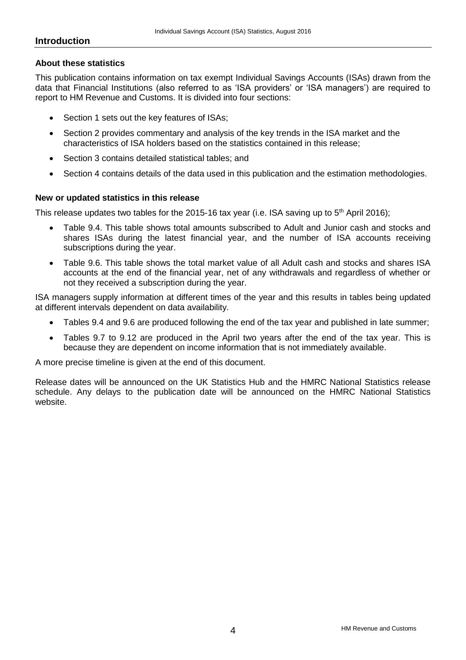# **Introduction**

# **About these statistics**

This publication contains information on tax exempt Individual Savings Accounts (ISAs) drawn from the data that Financial Institutions (also referred to as 'ISA providers' or 'ISA managers') are required to report to HM Revenue and Customs. It is divided into four sections:

- Section 1 sets out the key features of ISAs;
- Section 2 provides commentary and analysis of the key trends in the ISA market and the characteristics of ISA holders based on the statistics contained in this release;
- Section 3 contains detailed statistical tables; and
- Section 4 contains details of the data used in this publication and the estimation methodologies.

# **New or updated statistics in this release**

This release updates two tables for the 2015-16 tax year (i.e. ISA saving up to  $5<sup>th</sup>$  April 2016);

- Table 9.4. This table shows total amounts subscribed to Adult and Junior cash and stocks and shares ISAs during the latest financial year, and the number of ISA accounts receiving subscriptions during the year.
- Table 9.6. This table shows the total market value of all Adult cash and stocks and shares ISA accounts at the end of the financial year, net of any withdrawals and regardless of whether or not they received a subscription during the year.

ISA managers supply information at different times of the year and this results in tables being updated at different intervals dependent on data availability.

- Tables 9.4 and 9.6 are produced following the end of the tax year and published in late summer;
- Tables 9.7 to 9.12 are produced in the April two years after the end of the tax year. This is because they are dependent on income information that is not immediately available.

A more precise timeline is given at the end of this document.

Release dates will be announced on the UK Statistics Hub and the HMRC National Statistics release schedule. Any delays to the publication date will be announced on the HMRC National Statistics website.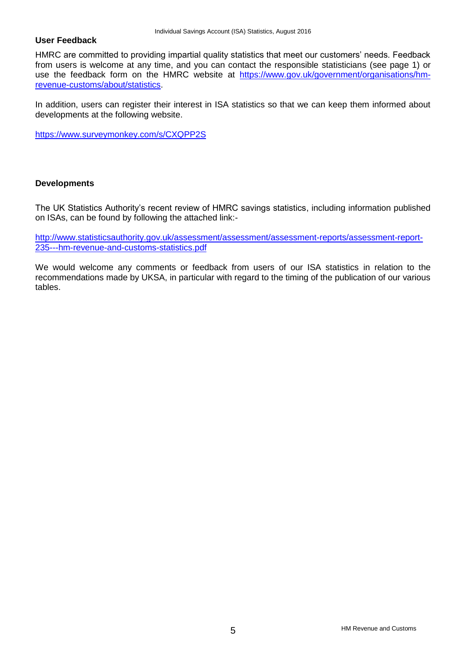# **User Feedback**

HMRC are committed to providing impartial quality statistics that meet our customers' needs. Feedback from users is welcome at any time, and you can contact the responsible statisticians (see page 1) or use the feedback form on the HMRC website at [https://www.gov.uk/government/organisations/hm](https://www.gov.uk/government/organisations/hm-revenue-customs/about/statistics)[revenue-customs/about/statistics.](https://www.gov.uk/government/organisations/hm-revenue-customs/about/statistics)

In addition, users can register their interest in ISA statistics so that we can keep them informed about developments at the following website.

<https://www.surveymonkey.com/s/CXQPP2S>

# **Developments**

The UK Statistics Authority's recent review of HMRC savings statistics, including information published on ISAs, can be found by following the attached link:-

[http://www.statisticsauthority.gov.uk/assessment/assessment/assessment-reports/assessment-report-](http://www.statisticsauthority.gov.uk/assessment/assessment/assessment-reports/assessment-report-235---hm-revenue-and-customs-statistics.pdf)[235---hm-revenue-and-customs-statistics.pdf](http://www.statisticsauthority.gov.uk/assessment/assessment/assessment-reports/assessment-report-235---hm-revenue-and-customs-statistics.pdf)

We would welcome any comments or feedback from users of our ISA statistics in relation to the recommendations made by UKSA, in particular with regard to the timing of the publication of our various tables.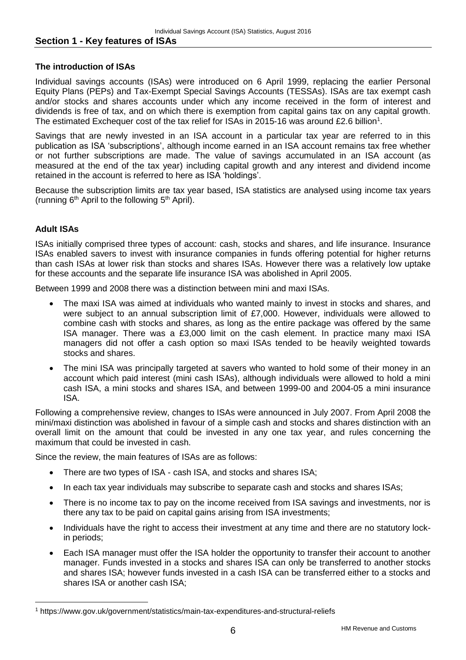# **Section 1 - Key features of ISAs**

# **The introduction of ISAs**

Individual savings accounts (ISAs) were introduced on 6 April 1999, replacing the earlier Personal Equity Plans (PEPs) and Tax-Exempt Special Savings Accounts (TESSAs). ISAs are tax exempt cash and/or stocks and shares accounts under which any income received in the form of interest and dividends is free of tax, and on which there is exemption from capital gains tax on any capital growth. The estimated Exchequer cost of the tax relief for ISAs in 2015-16 was around £2.6 billion<sup>1</sup>.

Savings that are newly invested in an ISA account in a particular tax year are referred to in this publication as ISA 'subscriptions', although income earned in an ISA account remains tax free whether or not further subscriptions are made. The value of savings accumulated in an ISA account (as measured at the end of the tax year) including capital growth and any interest and dividend income retained in the account is referred to here as ISA 'holdings'.

Because the subscription limits are tax year based, ISA statistics are analysed using income tax years (running  $6<sup>th</sup>$  April to the following  $5<sup>th</sup>$  April).

# **Adult ISAs**

l

ISAs initially comprised three types of account: cash, stocks and shares, and life insurance. Insurance ISAs enabled savers to invest with insurance companies in funds offering potential for higher returns than cash ISAs at lower risk than stocks and shares ISAs. However there was a relatively low uptake for these accounts and the separate life insurance ISA was abolished in April 2005.

Between 1999 and 2008 there was a distinction between mini and maxi ISAs.

- The maxi ISA was aimed at individuals who wanted mainly to invest in stocks and shares, and were subject to an annual subscription limit of £7,000. However, individuals were allowed to combine cash with stocks and shares, as long as the entire package was offered by the same ISA manager. There was a £3,000 limit on the cash element. In practice many maxi ISA managers did not offer a cash option so maxi ISAs tended to be heavily weighted towards stocks and shares.
- The mini ISA was principally targeted at savers who wanted to hold some of their money in an account which paid interest (mini cash ISAs), although individuals were allowed to hold a mini cash ISA, a mini stocks and shares ISA, and between 1999-00 and 2004-05 a mini insurance ISA.

Following a comprehensive review, changes to ISAs were announced in July 2007. From April 2008 the mini/maxi distinction was abolished in favour of a simple cash and stocks and shares distinction with an overall limit on the amount that could be invested in any one tax year, and rules concerning the maximum that could be invested in cash.

Since the review, the main features of ISAs are as follows:

- There are two types of ISA cash ISA, and stocks and shares ISA;
- In each tax year individuals may subscribe to separate cash and stocks and shares ISAs;
- There is no income tax to pay on the income received from ISA savings and investments, nor is there any tax to be paid on capital gains arising from ISA investments;
- Individuals have the right to access their investment at any time and there are no statutory lockin periods;
- Each ISA manager must offer the ISA holder the opportunity to transfer their account to another manager. Funds invested in a stocks and shares ISA can only be transferred to another stocks and shares ISA; however funds invested in a cash ISA can be transferred either to a stocks and shares ISA or another cash ISA;

<sup>1</sup> https://www.gov.uk/government/statistics/main-tax-expenditures-and-structural-reliefs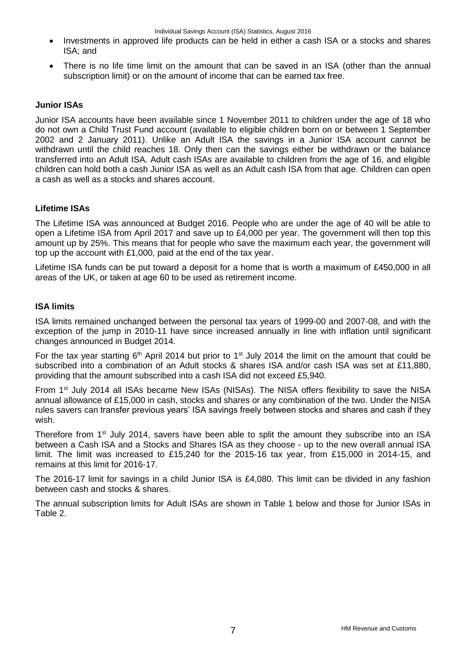- Investments in approved life products can be held in either a cash ISA or a stocks and shares ISA; and
- There is no life time limit on the amount that can be saved in an ISA (other than the annual subscription limit) or on the amount of income that can be earned tax free.

# **Junior ISAs**

Junior ISA accounts have been available since 1 November 2011 to children under the age of 18 who do not own a Child Trust Fund account (available to eligible children born on or between 1 September 2002 and 2 January 2011). Unlike an Adult ISA the savings in a Junior ISA account cannot be withdrawn until the child reaches 18. Only then can the savings either be withdrawn or the balance transferred into an Adult ISA. Adult cash ISAs are available to children from the age of 16, and eligible children can hold both a cash Junior ISA as well as an Adult cash ISA from that age. Children can open a cash as well as a stocks and shares account.

# **Lifetime ISAs**

The Lifetime ISA was announced at Budget 2016. People who are under the age of 40 will be able to open a Lifetime ISA from April 2017 and save up to £4,000 per year. The government will then top this amount up by 25%. This means that for people who save the maximum each year, the government will top up the account with £1,000, paid at the end of the tax year.

Lifetime ISA funds can be put toward a deposit for a home that is worth a maximum of £450,000 in all areas of the UK, or taken at age 60 to be used as retirement income.

# **ISA limits**

ISA limits remained unchanged between the personal tax years of 1999-00 and 2007-08, and with the exception of the jump in 2010-11 have since increased annually in line with inflation until significant changes announced in Budget 2014.

For the tax year starting  $6<sup>th</sup>$  April 2014 but prior to 1<sup>st</sup> July 2014 the limit on the amount that could be subscribed into a combination of an Adult stocks & shares ISA and/or cash ISA was set at £11,880, providing that the amount subscribed into a cash ISA did not exceed £5,940.

From 1st July 2014 all ISAs became New ISAs (NISAs). The NISA offers flexibility to save the NISA annual allowance of £15,000 in cash, stocks and shares or any combination of the two. Under the NISA rules savers can transfer previous years' ISA savings freely between stocks and shares and cash if they wish.

Therefore from 1<sup>st</sup> July 2014, savers have been able to split the amount they subscribe into an ISA between a Cash ISA and a Stocks and Shares ISA as they choose - up to the new overall annual ISA limit. The limit was increased to £15,240 for the 2015-16 tax year, from £15,000 in 2014-15, and remains at this limit for 2016-17.

The 2016-17 limit for savings in a child Junior ISA is £4,080. This limit can be divided in any fashion between cash and stocks & shares.

The annual subscription limits for Adult ISAs are shown in Table 1 below and those for Junior ISAs in Table 2.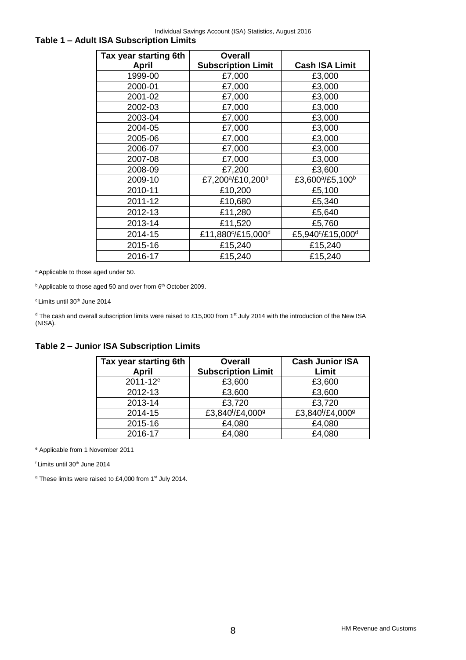Individual Savings Account (ISA) Statistics, August 2016

# **Table 1 – Adult ISA Subscription Limits**

| Tax year starting 6th | <b>Overall</b>                            |                                          |
|-----------------------|-------------------------------------------|------------------------------------------|
| <b>April</b>          | <b>Subscription Limit</b>                 | <b>Cash ISA Limit</b>                    |
| 1999-00               | £7,000                                    | £3,000                                   |
| 2000-01               | £7,000                                    | £3,000                                   |
| 2001-02               | £7,000                                    | £3,000                                   |
| 2002-03               | £7,000                                    | £3,000                                   |
| 2003-04               | £7,000                                    | £3,000                                   |
| 2004-05               | £7,000                                    | £3,000                                   |
| 2005-06               | £7,000                                    | £3,000                                   |
| 2006-07               | £7,000                                    | £3,000                                   |
| 2007-08               | £7,000                                    | £3,000                                   |
| 2008-09               | £7,200                                    | £3,600                                   |
| 2009-10               | £7,200 <sup>a</sup> /£10,200 <sup>b</sup> | £3,600 <sup>a</sup> /£5,100 <sup>b</sup> |
| 2010-11               | £10,200                                   | £5,100                                   |
| 2011-12               | £10,680                                   | £5,340                                   |
| 2012-13               | £11,280                                   | £5,640                                   |
| 2013-14               | £11,520                                   | £5,760                                   |
| 2014-15               | £11,880°/£15,000d                         | £5,940°/£15,000 <sup>d</sup>             |
| 2015-16               | £15,240                                   | £15,240                                  |
| 2016-17               | £15,240                                   | £15,240                                  |

<sup>a</sup> Applicable to those aged under 50.

 $b$  Applicable to those aged 50 and over from  $6<sup>th</sup>$  October 2009.

<sup>c</sup> Limits until 30<sup>th</sup> June 2014

<sup>d</sup> The cash and overall subscription limits were raised to £15,000 from 1<sup>st</sup> July 2014 with the introduction of the New ISA (NISA).

# **Table 2 – Junior ISA Subscription Limits**

| Tax year starting 6th<br><b>April</b> | <b>Overall</b><br><b>Subscription Limit</b> | <b>Cash Junior ISA</b><br>Limit          |
|---------------------------------------|---------------------------------------------|------------------------------------------|
| 2011-12 <sup>e</sup>                  | £3,600                                      | £3,600                                   |
| 2012-13                               | £3,600                                      | £3,600                                   |
| 2013-14                               | £3,720                                      | £3,720                                   |
| 2014-15                               | £3,840 <sup>f</sup> /£4,000 <sup>g</sup>    | £3,840 <sup>f</sup> /£4,000 <sup>g</sup> |
| 2015-16                               | £4,080                                      | £4,080                                   |
| 2016-17                               | £4,080                                      | £4,080                                   |

<sup>e</sup> Applicable from 1 November 2011

f Limits until 30<sup>th</sup> June 2014

<sup>g</sup> These limits were raised to £4,000 from 1<sup>st</sup> July 2014.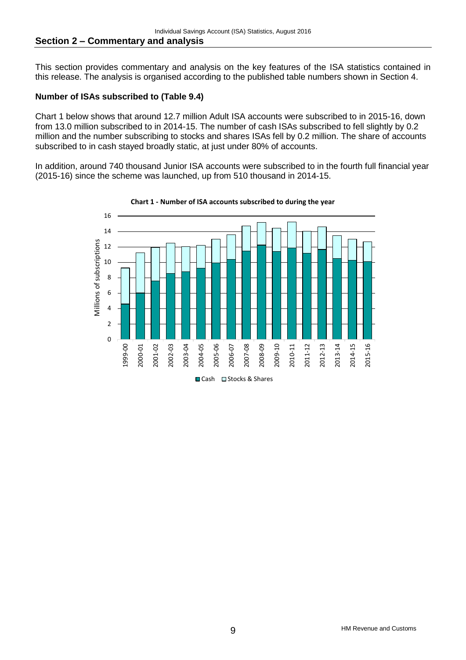This section provides commentary and analysis on the key features of the ISA statistics contained in this release. The analysis is organised according to the published table numbers shown in Section 4.

# **Number of ISAs subscribed to (Table 9.4)**

Chart 1 below shows that around 12.7 million Adult ISA accounts were subscribed to in 2015-16, down from 13.0 million subscribed to in 2014-15. The number of cash ISAs subscribed to fell slightly by 0.2 million and the number subscribing to stocks and shares ISAs fell by 0.2 million. The share of accounts subscribed to in cash stayed broadly static, at just under 80% of accounts.

In addition, around 740 thousand Junior ISA accounts were subscribed to in the fourth full financial year (2015-16) since the scheme was launched, up from 510 thousand in 2014-15.



**Chart 1 - Number of ISA accounts subscribed to during the year**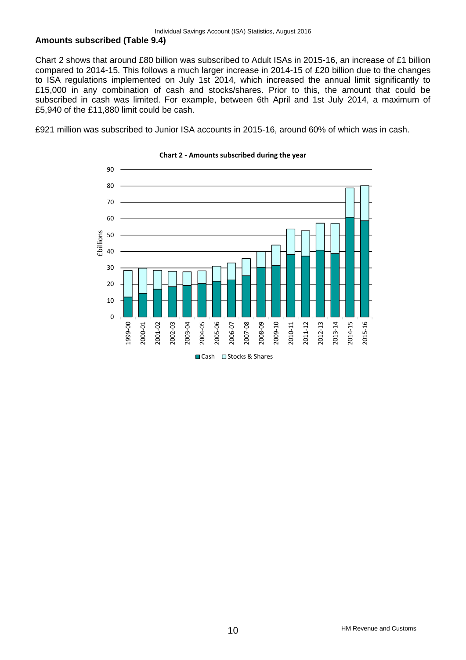# **Amounts subscribed (Table 9.4)**

Chart 2 shows that around £80 billion was subscribed to Adult ISAs in 2015-16, an increase of £1 billion compared to 2014-15. This follows a much larger increase in 2014-15 of £20 billion due to the changes to ISA regulations implemented on July 1st 2014, which increased the annual limit significantly to £15,000 in any combination of cash and stocks/shares. Prior to this, the amount that could be subscribed in cash was limited. For example, between 6th April and 1st July 2014, a maximum of £5,940 of the £11,880 limit could be cash.

£921 million was subscribed to Junior ISA accounts in 2015-16, around 60% of which was in cash.



## **Chart 2 - Amounts subscribed during the year**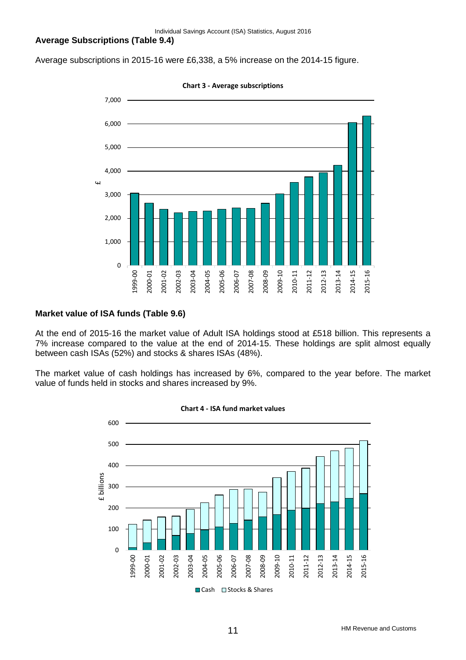Individual Savings Account (ISA) Statistics, August 2016

# **Average Subscriptions (Table 9.4)**

Average subscriptions in 2015-16 were £6,338, a 5% increase on the 2014-15 figure.



**Chart 3 - Average subscriptions**

# **Market value of ISA funds (Table 9.6)**

At the end of 2015-16 the market value of Adult ISA holdings stood at £518 billion. This represents a 7% increase compared to the value at the end of 2014-15. These holdings are split almost equally between cash ISAs (52%) and stocks & shares ISAs (48%).

The market value of cash holdings has increased by 6%, compared to the year before. The market value of funds held in stocks and shares increased by 9%.



**Chart 4 - ISA fund market values**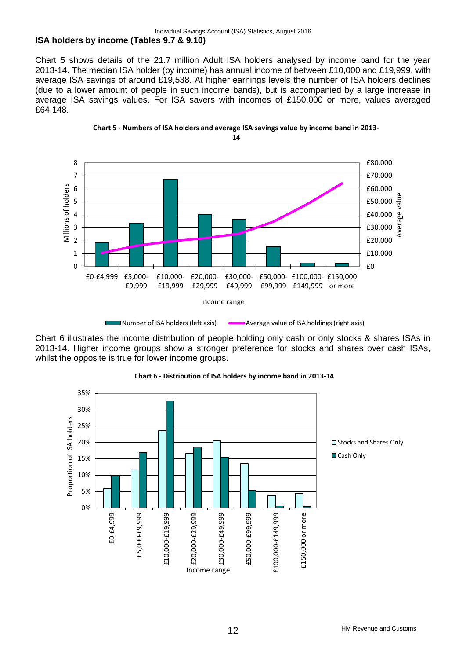# **ISA holders by income (Tables 9.7 & 9.10)**

Chart 5 shows details of the 21.7 million Adult ISA holders analysed by income band for the year 2013-14. The median ISA holder (by income) has annual income of between £10,000 and £19,999, with average ISA savings of around £19,538. At higher earnings levels the number of ISA holders declines (due to a lower amount of people in such income bands), but is accompanied by a large increase in average ISA savings values. For ISA savers with incomes of £150,000 or more, values averaged £64,148.





Chart 6 illustrates the income distribution of people holding only cash or only stocks & shares ISAs in 2013-14. Higher income groups show a stronger preference for stocks and shares over cash ISAs, whilst the opposite is true for lower income groups.



# **Chart 6 - Distribution of ISA holders by income band in 2013-14**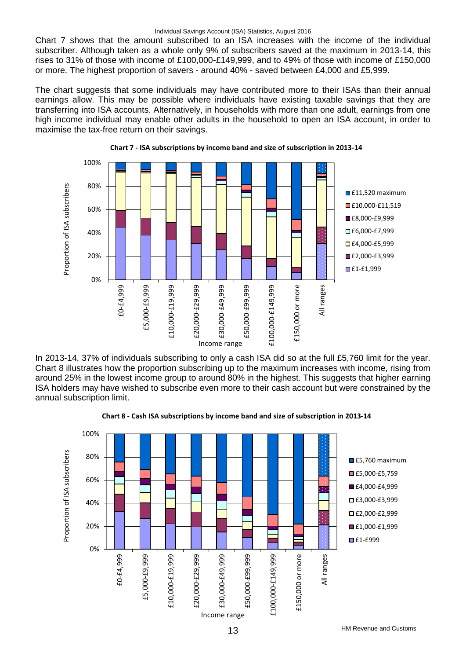### Individual Savings Account (ISA) Statistics, August 2016

Chart 7 shows that the amount subscribed to an ISA increases with the income of the individual subscriber. Although taken as a whole only 9% of subscribers saved at the maximum in 2013-14, this rises to 31% of those with income of £100,000-£149,999, and to 49% of those with income of £150,000 or more. The highest proportion of savers - around 40% - saved between £4,000 and £5,999.

The chart suggests that some individuals may have contributed more to their ISAs than their annual earnings allow. This may be possible where individuals have existing taxable savings that they are transferring into ISA accounts. Alternatively, in households with more than one adult, earnings from one high income individual may enable other adults in the household to open an ISA account, in order to maximise the tax-free return on their savings.





In 2013-14, 37% of individuals subscribing to only a cash ISA did so at the full £5,760 limit for the year. Chart 8 illustrates how the proportion subscribing up to the maximum increases with income, rising from around 25% in the lowest income group to around 80% in the highest. This suggests that higher earning ISA holders may have wished to subscribe even more to their cash account but were constrained by the annual subscription limit.



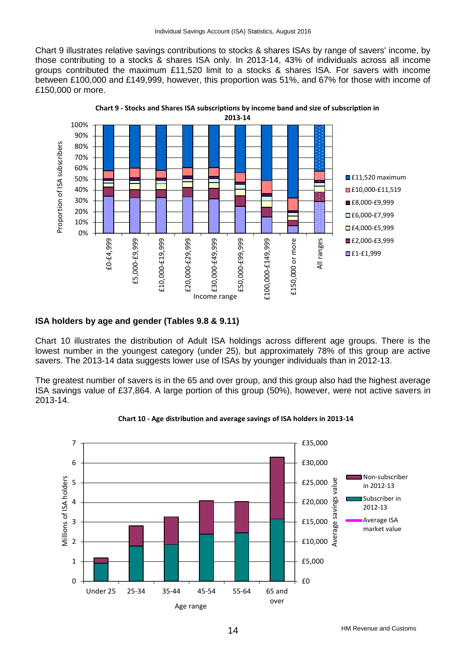Chart 9 illustrates relative savings contributions to stocks & shares ISAs by range of savers' income, by those contributing to a stocks & shares ISA only. In 2013-14, 43% of individuals across all income groups contributed the maximum £11,520 limit to a stocks & shares ISA. For savers with income between £100,000 and £149,999, however, this proportion was 51%, and 67% for those with income of £150,000 or more.



# **ISA holders by age and gender (Tables 9.8 & 9.11)**

Chart 10 illustrates the distribution of Adult ISA holdings across different age groups. There is the lowest number in the youngest category (under 25), but approximately 78% of this group are active savers. The 2013-14 data suggests lower use of ISAs by younger individuals than in 2012-13.

The greatest number of savers is in the 65 and over group, and this group also had the highest average ISA savings value of £37,864. A large portion of this group (50%), however, were not active savers in 2013-14.



## **Chart 10 - Age distribution and average savings of ISA holders in 2013-14**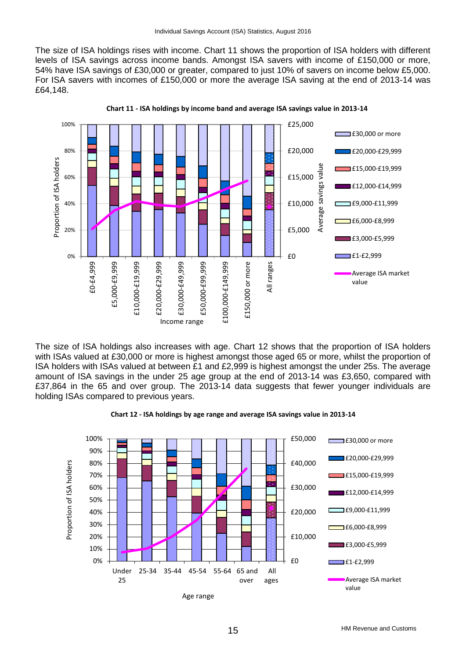The size of ISA holdings rises with income. Chart 11 shows the proportion of ISA holders with different levels of ISA savings across income bands. Amongst ISA savers with income of £150,000 or more, 54% have ISA savings of £30,000 or greater, compared to just 10% of savers on income below £5,000. For ISA savers with incomes of £150,000 or more the average ISA saving at the end of 2013-14 was £64,148.



**Chart 11 - ISA holdings by income band and average ISA savings value in 2013-14**

The size of ISA holdings also increases with age. Chart 12 shows that the proportion of ISA holders with ISAs valued at £30,000 or more is highest amongst those aged 65 or more, whilst the proportion of ISA holders with ISAs valued at between £1 and £2,999 is highest amongst the under 25s. The average amount of ISA savings in the under 25 age group at the end of 2013-14 was £3,650, compared with £37,864 in the 65 and over group. The 2013-14 data suggests that fewer younger individuals are holding ISAs compared to previous years.



**Chart 12 - ISA holdings by age range and average ISA savings value in 2013-14**

Age range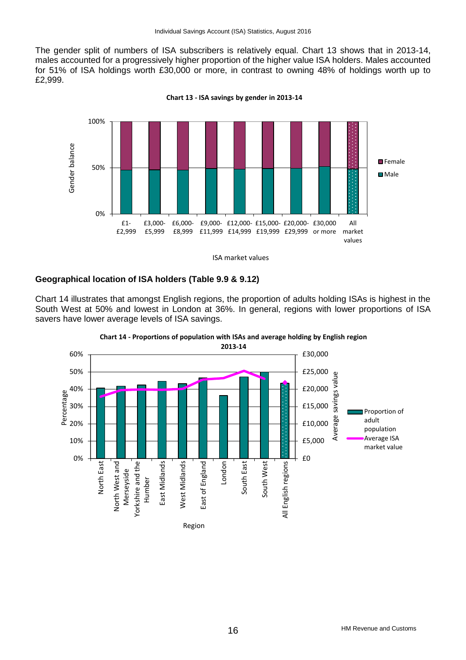The gender split of numbers of ISA subscribers is relatively equal. Chart 13 shows that in 2013-14, males accounted for a progressively higher proportion of the higher value ISA holders. Males accounted for 51% of ISA holdings worth £30,000 or more, in contrast to owning 48% of holdings worth up to £2,999.





# **Geographical location of ISA holders (Table 9.9 & 9.12)**

Chart 14 illustrates that amongst English regions, the proportion of adults holding ISAs is highest in the South West at 50% and lowest in London at 36%. In general, regions with lower proportions of ISA savers have lower average levels of ISA savings.



**Chart 14 - Proportions of population with ISAs and average holding by English region**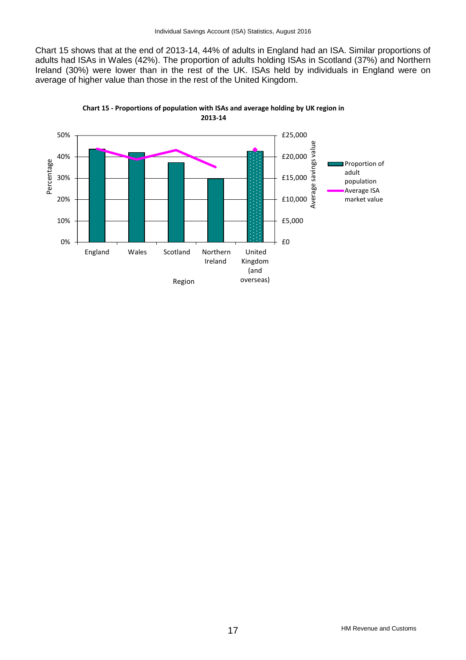Chart 15 shows that at the end of 2013-14, 44% of adults in England had an ISA. Similar proportions of adults had ISAs in Wales (42%). The proportion of adults holding ISAs in Scotland (37%) and Northern Ireland (30%) were lower than in the rest of the UK. ISAs held by individuals in England were on average of higher value than those in the rest of the United Kingdom.



**Chart 15 - Proportions of population with ISAs and average holding by UK region in 2013-14**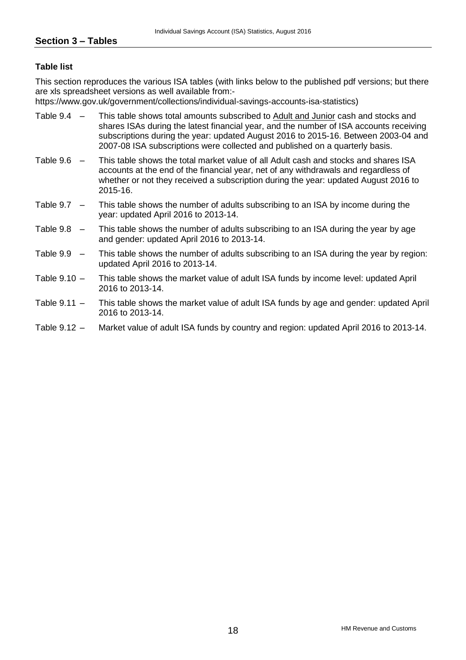# **Table list**

This section reproduces the various ISA tables (with links below to the published pdf versions; but there are xls spreadsheet versions as well available from:-

https://www.gov.uk/government/collections/individual-savings-accounts-isa-statistics)

- Table 9.4 This table shows total amounts subscribed to Adult and Junior cash and stocks and shares ISAs during the latest financial year, and the number of ISA accounts receiving subscriptions during the year: updated August 2016 to 2015-16. Between 2003-04 and 2007-08 ISA subscriptions were collected and published on a quarterly basis.
- Table 9.6 This table shows the total market value of all Adult cash and stocks and shares ISA accounts at the end of the financial year, net of any withdrawals and regardless of whether or not they received a subscription during the year: updated August 2016 to 2015-16.
- Table 9.7 This table shows the number of adults subscribing to an ISA by income during the year: updated April 2016 to 2013-14.
- Table 9.8 This table shows the number of adults subscribing to an ISA during the year by age and gender: updated April 2016 to 2013-14.
- Table 9.9 This table shows the number of adults subscribing to an ISA during the year by region: updated April 2016 to 2013-14.
- Table 9.10 This table shows the market value of adult ISA funds by income level: updated April 2016 to 2013-14.
- Table 9.11 This table shows the market value of adult ISA funds by age and gender: updated April 2016 to 2013-14.
- Table 9.12 Market value of adult ISA funds by country and region: updated April 2016 to 2013-14.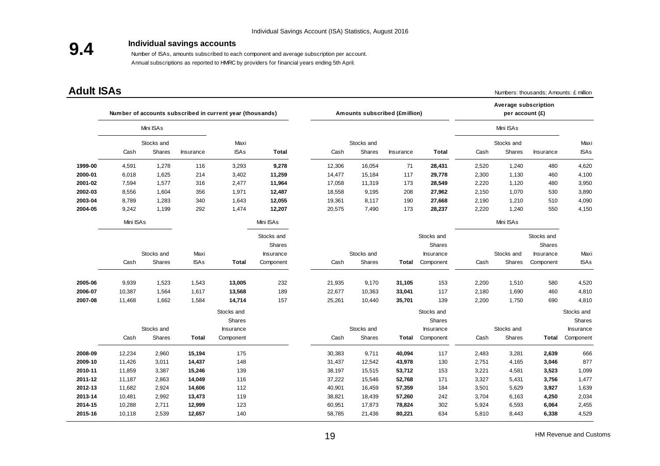# **9.4**

# **Individual savings accounts**

 Number of ISAs, amounts subscribed to each component and average subscription per account. Annual subscriptions as reported to HMRC by providers for financial years ending 5th April.

**Adult ISAs** Numbers: thousands; Amounts: £ million

|         |           |                      |              | Number of accounts subscribed in current year (thousands) |                      |        | Amounts subscribed (£million) |           |                        |       | Average subscription<br>per account (£) |                      |                        |
|---------|-----------|----------------------|--------------|-----------------------------------------------------------|----------------------|--------|-------------------------------|-----------|------------------------|-------|-----------------------------------------|----------------------|------------------------|
|         |           | Mini ISAs            |              |                                                           |                      |        |                               |           |                        |       | Mini ISAs                               |                      |                        |
|         | Cash      | Stocks and<br>Shares | Insurance    | Maxi<br><b>ISAs</b>                                       | <b>Total</b>         | Cash   | Stocks and<br>Shares          | Insurance | Total                  | Cash  | Stocks and<br>Shares                    | Insurance            | Maxi<br><b>ISAs</b>    |
| 1999-00 | 4,591     | 1,278                | 116          | 3,293                                                     | 9,278                | 12,306 | 16,054                        | 71        | 28,431                 | 2,520 | 1,240                                   | 480                  | 4,620                  |
| 2000-01 | 6,018     | 1,625                | 214          | 3,402                                                     | 11,259               | 14,477 | 15,184                        | 117       | 29,778                 | 2,300 | 1,130                                   | 460                  | 4,100                  |
| 2001-02 | 7,594     | 1,577                | 316          | 2,477                                                     | 11,964               | 17,058 | 11,319                        | 173       | 28,549                 | 2,220 | 1,120                                   | 480                  | 3,950                  |
| 2002-03 | 8,556     | 1,604                | 356          | 1,971                                                     | 12,487               | 18,558 | 9,195                         | 208       | 27,962                 | 2,150 | 1,070                                   | 530                  | 3,890                  |
| 2003-04 | 8,789     | 1,283                | 340          | 1,643                                                     | 12,055               | 19,361 | 8,117                         | 190       | 27,668                 | 2,190 | 1,210                                   | 510                  | 4,090                  |
| 2004-05 | 9,242     | 1,199                | 292          | 1,474                                                     | 12,207               | 20,575 | 7,490                         | 173       | 28,237                 | 2,220 | 1,240                                   | 550                  | 4,150                  |
|         | Mini ISAs |                      |              |                                                           | Mini ISAs            |        |                               |           |                        |       | Mini ISAs                               |                      |                        |
|         |           |                      |              |                                                           | Stocks and<br>Shares |        |                               |           | Stocks and<br>Shares   |       |                                         | Stocks and<br>Shares |                        |
|         |           | Stocks and           | Maxi         |                                                           | Insurance            |        | Stocks and                    |           | Insurance              |       | Stocks and                              | Insurance            | Maxi                   |
|         | Cash      | Shares               | <b>ISAs</b>  | <b>Total</b>                                              | Component            | Cash   | Shares                        | Total     | Component              | Cash  | Shares                                  | Component            | <b>ISAs</b>            |
| 2005-06 | 9,939     | 1,523                | 1,543        | 13,005                                                    | 232                  | 21,935 | 9,170                         | 31,105    | 153                    | 2,200 | 1,510                                   | 580                  | 4,520                  |
| 2006-07 | 10,387    | 1,564                | 1,617        | 13,568                                                    | 189                  | 22,677 | 10,363                        | 33,041    | 117                    | 2,180 | 1,690                                   | 460                  | 4,810                  |
| 2007-08 | 11,468    | 1,662                | 1,584        | 14,714                                                    | 157                  | 25,261 | 10,440                        | 35,701    | 139                    | 2,200 | 1,750                                   | 690                  | 4,810                  |
|         |           |                      |              | Stocks and<br><b>Shares</b>                               |                      |        |                               |           | Stocks and<br>Shares   |       |                                         |                      | Stocks and<br>Shares   |
|         | Cash      | Stocks and<br>Shares | <b>Total</b> | Insurance<br>Component                                    |                      | Cash   | Stocks and<br>Shares          | Total     | Insurance<br>Component | Cash  | Stocks and<br><b>Shares</b>             | Total                | Insurance<br>Component |
| 2008-09 | 12,234    | 2,960                | 15,194       | 175                                                       |                      | 30,383 | 9,711                         | 40,094    | 117                    | 2,483 | 3,281                                   | 2,639                | 666                    |
| 2009-10 | 11,426    | 3,011                | 14,437       | 148                                                       |                      | 31,437 | 12,542                        | 43,978    | 130                    | 2,751 | 4,165                                   | 3,046                | 877                    |
| 2010-11 | 11,859    | 3,387                | 15,246       | 139                                                       |                      | 38,197 | 15,515                        | 53,712    | 153                    | 3,221 | 4,581                                   | 3,523                | 1,099                  |
| 2011-12 | 11,187    | 2,863                | 14,049       | 116                                                       |                      | 37,222 | 15,546                        | 52,768    | 171                    | 3,327 | 5,431                                   | 3,756                | 1,477                  |
| 2012-13 | 11,682    | 2,924                | 14,606       | 112                                                       |                      | 40,901 | 16,459                        | 57,359    | 184                    | 3,501 | 5,629                                   | 3,927                | 1,639                  |
| 2013-14 | 10,481    | 2,992                | 13,473       | 119                                                       |                      | 38,821 | 18,439                        | 57,260    | 242                    | 3,704 | 6,163                                   | 4,250                | 2,034                  |
| 2014-15 | 10,288    | 2,711                | 12,999       | 123                                                       |                      | 60,951 | 17,873                        | 78,824    | 302                    | 5,924 | 6,593                                   | 6,064                | 2,455                  |
| 2015-16 | 10,118    | 2,539                | 12,657       | 140                                                       |                      | 58,785 | 21,436                        | 80,221    | 634                    | 5,810 | 8,443                                   | 6,338                | 4,529                  |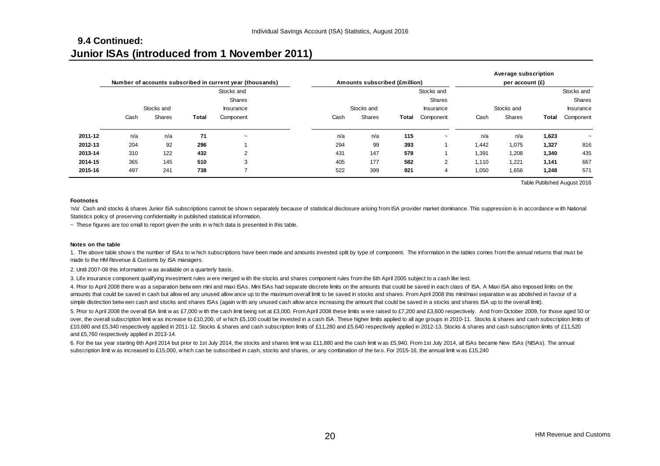# **9.4 Continued: Junior ISAs (introduced from 1 November 2011)**

|         |      |                      |       | Number of accounts subscribed in current year (thousands) |      | Amounts subscribed (£million) |       |                               |       | Average subscription<br>per account $(E)$ |       |                               |  |
|---------|------|----------------------|-------|-----------------------------------------------------------|------|-------------------------------|-------|-------------------------------|-------|-------------------------------------------|-------|-------------------------------|--|
|         |      |                      |       | Stocks and<br>Shares                                      |      |                               |       | Stocks and<br>Shares          |       | Stocks and                                |       |                               |  |
|         | Cash | Stocks and<br>Shares | Total | Insurance<br>Component                                    | Cash | Stocks and<br>Shares          | Total | <b>Insurance</b><br>Component | Cash  | Stocks and<br>Shares                      | Total | <b>Insurance</b><br>Component |  |
| 2011-12 | n/a  | n/a                  | 71    | $\tilde{\phantom{a}}$                                     | n/a  | n/a                           | 115   | $\tilde{\phantom{a}}$         | n/a   | n/a                                       | 1,623 | $\tilde{\phantom{a}}$         |  |
| 2012-13 | 204  | 92                   | 296   |                                                           | 294  | 99                            | 393   |                               | 1,442 | 1,075                                     | 1,327 | 816                           |  |
| 2013-14 | 310  | 122                  | 432   | 2                                                         | 431  | 147                           | 578   |                               | 1,391 | 1,208                                     | 1,340 | 435                           |  |
| 2014-15 | 365  | 145                  | 510   | 3                                                         | 405  | 177                           | 582   | 2                             | 1,110 | 1,221                                     | 1,141 | 667                           |  |
| 2015-16 | 497  | 241                  | 738   | -                                                         | 522  | 399                           | 921   | 4                             | 1,050 | 1,656                                     | 1,248 | 571                           |  |

Table Published August 2016

#### **Footnotes**

Footnotes<br>
The day 241 738 7 522 399 921 4 1,050 1,656 1,248 57<br>
Table Published August 201<br>
Statistics policy of preserving confidentiality in published statistical information.<br>
Statistics policy of preserving confidenti Statistics policy of preserving confidentiality in published statistical information. Footnotes<br>"n/a' Cash and stocks & shares Junior ISA subscriptions cannot be shown separately becaus<br>Statistics policy of preserving confidentiality in published statistical information.<br>~ These figures are too small to rep

#### **Notes on the table**

'n/a' Cash and stocks & shares Junior ISA subscriptions cannot be shown separately because of statistical disclosure arising from ISA provider market dominance. This suppression is in accordance with Nationa<br>Statistics pol made to the HM Revenue & Customs by ISA managers. These figures are too small to report given the units in which date<br>
Notes on the table<br>
1. The above table shows the number of ISAs to which subscriptic<br>
made to the HM Revenue & Customs by ISA managers.<br>
2. Until 2007-08 Notes on the table<br>1. The above table shows the number of ISAs to which subscriptions have been made and amounts invested split by type of component. The information in the table<br>made to the HM Revenue & Customs by ISA man

2. Until 2007-08 this information was available on a quarterly basis.<br>3. Life insurance component qualifying investment rules were merged with the stocks and shares component rules from the 6th April 2005 subject to a cash Notes on the table<br>1. The above table shows the number of ISAs to which subscriptions have been made and amounts invested split by type of component. The information in the tables comes from the annual returns that must<br>ma 1. The above table show s the number of ISAs to which subscriptions have been made and amounts invested split by type of component. The information in the tables comes from the annual returns that must I<br>made to the HM Rev made to the HM Revenue & Customs by ISA managers.<br>2. Until 2007-08 this information was available on a quarterly basis.<br>3. Life insurance component qualifying investment rules w ere merged w ith the stocks and shares compo

3. Life insurance component qualifying investment rules were merged with the stocks and shares component rules from the 6th April 2005 subject to a cash like test.<br>4. Prior to April 2008 there was a separation between mini £10,680 and £5,340 respectively applied in 2011-12. Stocks & shares and cash subscription limits of £11,580 and £5,640 respectively applied in 2012-13. Stocks & shares and cash subscription limits of £11,520 and £5,760 respectively applied in 2013-14. simple distinction between cash and stocks and shares ISAs (again with any unused cash allow ance increasing the amount that could be saved in a stocks and shares ISA up to the overall limit).<br>5. Prior to April 2008 the ov subscription limit w as increased to £15,000, w hich can be subscribed in cash, stocks and shares, or any combination of the two. For 2015-16, the annual limit w as £15,240 subscription limit w as increase to £10,200, of w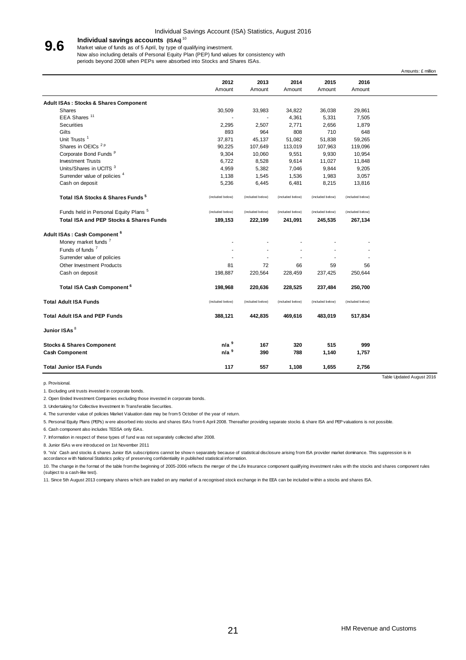#### Individual Savings Account (ISA) Statistics, August 2016

#### **Individual savings accounts (ISAs)** <sup>10</sup> **9.6**

Market value of funds as of 5 April, by type of qualifying investment. Now also including details of Personal Equity Plan (PEP) fund values for consistency with

periods beyond 2008 when PEPs were absorbed into Stocks and Shares ISAs.

|                                                    |                  |                  |                  |                  |                  | Amounts: £ million        |
|----------------------------------------------------|------------------|------------------|------------------|------------------|------------------|---------------------------|
|                                                    | 2012<br>Amount   | 2013<br>Amount   | 2014<br>Amount   | 2015<br>Amount   | 2016<br>Amount   |                           |
| <b>Adult ISAs: Stocks &amp; Shares Component</b>   |                  |                  |                  |                  |                  |                           |
| <b>Shares</b>                                      | 30,509           | 33,983           | 34,822           | 36,038           | 29,861           |                           |
| EEA Shares <sup>11</sup>                           |                  |                  | 4,361            | 5,331            | 7,505            |                           |
| Securities                                         | 2,295            | 2,507            | 2,771            | 2,656            | 1,879            |                           |
| Gilts                                              | 893              | 964              | 808              | 710              | 648              |                           |
| Unit Trusts <sup>1</sup>                           | 37,871           | 45,137           | 51,082           | 51,838           | 59,265           |                           |
| Shares in OEICs <sup>2p</sup>                      | 90,225           | 107,649          | 113,019          | 107,963          | 119,096          |                           |
| Corporate Bond Funds <sup>p</sup>                  | 9,304            | 10,060           | 9,551            | 9,930            | 10,954           |                           |
| <b>Investment Trusts</b>                           | 6,722            | 8,528            | 9,614            | 11,027           | 11,848           |                           |
| Units/Shares in UCITS <sup>3</sup>                 | 4,959            | 5,382            | 7,046            | 9,844            | 9,205            |                           |
| Surrender value of policies <sup>4</sup>           | 1,138            | 1,545            | 1,536            | 1,983            | 3,057            |                           |
| Cash on deposit                                    | 5,236            | 6,445            | 6,481            | 8,215            | 13,816           |                           |
| Total ISA Stocks & Shares Funds <sup>5</sup>       | (included below) | (included below) | (included below) | (included below) | (included below) |                           |
| Funds held in Personal Equity Plans <sup>5</sup>   | (included below) | (included below) | (included below) | (included below) | (included below) |                           |
| <b>Total ISA and PEP Stocks &amp; Shares Funds</b> | 189,153          | 222,199          | 241,091          | 245,535          | 267,134          |                           |
| Adult ISAs: Cash Component <sup>6</sup>            |                  |                  |                  |                  |                  |                           |
| Money market funds <sup>7</sup>                    |                  |                  |                  |                  |                  |                           |
| Funds of funds <sup>7</sup>                        |                  |                  |                  |                  |                  |                           |
| Surrender value of policies                        |                  |                  |                  |                  |                  |                           |
| Other Investment Products                          | 81               | 72               | 66               | 59               | 56               |                           |
| Cash on deposit                                    | 198,887          | 220,564          | 228,459          | 237,425          | 250,644          |                           |
| Total ISA Cash Component <sup>6</sup>              | 198,968          | 220,636          | 228,525          | 237,484          | 250,700          |                           |
| <b>Total Adult ISA Funds</b>                       | (included below) | (included below) | (included below) | (included below) | (included below) |                           |
| <b>Total Adult ISA and PEP Funds</b>               | 388,121          | 442,835          | 469,616          | 483,019          | 517,834          |                           |
| Junior ISAs <sup>8</sup>                           |                  |                  |                  |                  |                  |                           |
| <b>Stocks &amp; Shares Component</b>               | n/a <sup>9</sup> | 167              | 320              | 515              | 999              |                           |
| <b>Cash Component</b>                              | n/a <sup>9</sup> | 390              | 788              | 1,140            | 1,757            |                           |
| <b>Total Junior ISA Funds</b>                      | 117              | 557              | 1,108            | 1,655            | 2,756            |                           |
|                                                    |                  |                  |                  |                  |                  | Table Updated August 2016 |

p. Provisional.

1. Excluding unit trusts invested in corporate bonds.

2. Open Ended Investment Companies excluding those invested in corporate bonds.

3. Undertaking for Collective Investment In Transferable Securities.

4. The surrender value of policies Market Valuation date may be from 5 October of the year of return. 3. Undertaking for Collective Investment In Transferable Securities.<br>4. The surrender value of policies Market Valuation date may be from 5 October of the ye<br>5. Personal Equity Plans (PEPs) w ere absorbed into stocks and s

5. Personal Equity Plans (PEPs) w ere absorbed into stocks and shares ISAs from 6 April 2008. Thereafter providing separate stocks & share ISA and PEP valuations is not possible.

6. Cash component also includes TESSA only ISAs.

4. The surrender value of policies Market Valuation dat<br>5. Personal Equity Plans (PEPs) were absorbed into sto<br>6. Cash component also includes TESSA only ISAs.<br>7. Information in respect of these types of fund was no<br>8. Jun 5. Personal Equity Plans (PEPs) were absorbed into stocks and shares ISAs from 6 April 2008. Thereafter providing separate stocks & share ISA and PEP valuations is not possible.<br>6. Cash component also includes TESSA only I

-<br>10. Hormation in respect of these types of fund was not separately collected after 2008.<br>8. Junior ISAs were introduced on 1st November 2011<br>9. "n/a' Cash and stocks & shares Junior ISA subscriptions cannot be shown sepa (subject to a cash-like test). 1. Since 5th August 2013 company shares which are traded on any market of a recognised stock exchange in the EEA can be included within a stocks and shares ISA.<br>10. The change in the format of the table from the beginning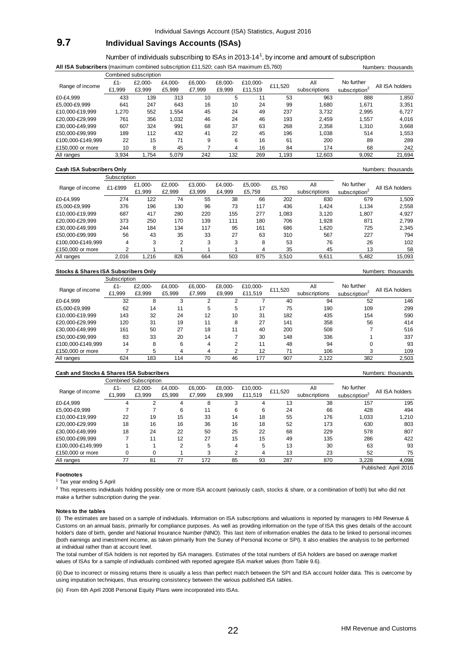# **9.7 Individual Savings Accounts (ISAs)**

Number of individuals subscribing to ISAs in 2013-14<sup>1</sup>, by income and amount of subscription All ISA Subscribers (maximum combined subscription £11,520; cash ISA maximum £5,760) Numbers: thousands

|                   |        | Combined subscription |         |         |         |          |         |               |                           |                 |
|-------------------|--------|-----------------------|---------|---------|---------|----------|---------|---------------|---------------------------|-----------------|
| Range of income   | £1-    | £2.000-               | £4.000- | £6.000- | £8.000- | £10.000- | £11,520 | All           | No further                | All ISA holders |
|                   | £1,999 | £3.999                | £5.999  | £7.999  | £9.999  | £11.519  |         | subscriptions | subscription <sup>2</sup> |                 |
| £0-£4.999         | 433    | 139                   | 313     | 10      | 5       | 11       | 53      | 963           | 888                       | 1,850           |
| £5.000-£9.999     | 641    | 247                   | 643     | 16      | 10      | 24       | 99      | 1.680         | 1.671                     | 3,351           |
| £10.000-£19.999   | 1.270  | 552                   | .554    | 45      | 24      | 49       | 237     | 3.732         | 2,995                     | 6,727           |
| £20.000-£29.999   | 761    | 356                   | 1,032   | 46      | 24      | 46       | 193     | 2.459         | 1,557                     | 4,016           |
| £30.000-£49.999   | 607    | 324                   | 991     | 68      | 37      | 63       | 268     | 2.358         | 1,310                     | 3,668           |
| £50.000-£99.999   | 189    | 112                   | 432     | 41      | 22      | 45       | 196     | 1.038         | 514                       | 1,553           |
| £100.000-£149.999 | 22     | 15                    | 71      | 9       | 6       | 16       | 61      | 200           | 89                        | 289             |
| £150,000 or more  | 10     | 8                     | 45      |         | 4       | 16       | 84      | 174           | 68                        | 242             |
| All ranges        | 3.934  | 1.754                 | 5.079   | 242     | 132     | 269      | 1.193   | 12.603        | 9,092                     | 21,694          |

#### **Cash ISA Subscribers Only** Numbers: thousands

|                   | Subscription |         |         |         |         |         |        |               |                           |                 |
|-------------------|--------------|---------|---------|---------|---------|---------|--------|---------------|---------------------------|-----------------|
| Range of income   | £1-£999      | £1,000- | £2.000- | £3.000- | £4.000- | £5,000- | £5.760 | All           | No further                | All ISA holders |
|                   |              | £1.999  | £2.999  | £3.999  | £4.999  | £5,759  |        | subscriptions | subscription <sup>2</sup> |                 |
| £0-£4.999         | 274          | 122     | 74      | 55      | 38      | 66      | 202    | 830           | 679                       | 1,509           |
| £5.000-£9.999     | 376          | 196     | 130     | 96      | 73      | 117     | 436    | 1.424         | 1.134                     | 2,558           |
| £10.000-£19.999   | 687          | 417     | 280     | 220     | 155     | 277     | 1.083  | 3.120         | 1.807                     | 4,927           |
| £20.000-£29.999   | 373          | 250     | 170     | 139     | 111     | 180     | 706    | 1.928         | 871                       | 2,799           |
| £30.000-£49.999   | 244          | 184     | 134     | 117     | 95      | 161     | 686    | 1.620         | 725                       | 2.345           |
| £50.000-£99.999   | 56           | 43      | 35      | 33      | 27      | 63      | 310    | 567           | 227                       | 794             |
| £100.000-£149.999 | 4            | 3       | 2       | 3       | 3       | 8       | 53     | 76            | 26                        | 102             |
| £150,000 or more  | っ            |         |         |         |         | 4       | 35     | 45            | 13                        | 58              |
| All ranges        | 2.016        | .216    | 826     | 664     | 503     | 875     | 3.510  | 9.611         | 5.482                     | 15,093          |

#### **Stocks & Shares ISA Subscribers Only** Numbers: thousands

|                   | Subscription |         |         |         |         |          |         |               |                           |                 |
|-------------------|--------------|---------|---------|---------|---------|----------|---------|---------------|---------------------------|-----------------|
| Range of income   | £1-          | £2.000- | £4.000- | £6,000- | £8.000- | £10.000- | £11,520 | All           | No further                | All ISA holders |
|                   | £1,999       | £3.999  | £5.999  | £7.999  | £9,999  | £11.519  |         | subscriptions | subscription <sup>2</sup> |                 |
| £0-£4.999         | 32           | 8       | 3       | ⌒       |         |          | 40      | 94            | 52                        | 146             |
| £5.000-£9.999     | 62           | 14      | 11      | 5       | 5       | 17       | 75      | 190           | 109                       | 299             |
| £10.000-£19.999   | 143          | 32      | 24      | 12      | 10      | 31       | 182     | 435           | 154                       | 590             |
| £20.000-£29.999   | 120          | 31      | 19      | 11      | 8       | 27       | 141     | 358           | 56                        | 414             |
| £30.000-£49.999   | 161          | 50      | 27      | 18      | 11      | 40       | 200     | 508           |                           | 516             |
| £50.000-£99.999   | 83           | 33      | 20      | 14      |         | 30       | 148     | 336           |                           | 337             |
| £100.000-£149.999 | 14           | 8       | 6       | 4       | っ       | 11       | 48      | 94            | 0                         | 93              |
| £150,000 or more  |              | 5       | 4       | 4       |         | 12       | 71      | 106           | 3                         | 109             |
| All ranges        | 624          | 183     | 114     | 70      | 46      | 177      | 907     | 2.122         | 382                       | 2.503           |

#### **Cash and Stocks & Shares ISA Subscribers** Numbers: thousands Numbers: thousands

|                   |        | <b>Combined Subscription</b> |                |         |         |          |         |               |                           |                 |
|-------------------|--------|------------------------------|----------------|---------|---------|----------|---------|---------------|---------------------------|-----------------|
| Range of income   | £1-    | £2.000-                      | £4.000-        | £6.000- | £8.000- | £10.000- | £11,520 | All           | No further                | All ISA holders |
|                   | £1,999 | £3.999                       | £5.999         | £7.999  | £9.999  | £11,519  |         | subscriptions | subscription <sup>2</sup> |                 |
| £0-£4,999         | 4      | ◠                            | 4              | 8       | 3       | 4        | 13      | 38            | 157                       | 195             |
| £5.000-£9.999     |        |                              | 6              | 11      | 6       | 6        | 24      | 66            | 428                       | 494             |
| £10.000-£19.999   | 22     | 19                           | 15             | 33      | 14      | 18       | 55      | 176           | 1,033                     | 1,210           |
| £20,000-£29,999   | 18     | 16                           | 16             | 36      | 16      | 18       | 52      | 173           | 630                       | 803             |
| £30.000-£49.999   | 18     | 24                           | 22             | 50      | 25      | 22       | 68      | 229           | 578                       | 807             |
| £50.000-£99.999   |        | 11                           | 12             | 27      | 15      | 15       | 49      | 135           | 286                       | 422             |
| £100.000-£149.999 |        |                              | $\overline{2}$ | 5       | 4       | 5        | 13      | 30            | 63                        | 93              |
| £150,000 or more  |        |                              |                | 3       | ◠       | 4        | 13      | 23            | 52                        | 75              |
| All ranges        | 77     | 81                           | 77             | 172     | 85      | 93       | 287     | 870           | 3.228                     | 4,098           |

Published: April 2016

#### **Footnotes**

<sup>1</sup> Tax year ending 5 April

 $^2$  This represents individuals holding possibly one or more ISA account (variously cash, stocks & share, or a combination of both) but who did not make a further subscription during the year.

#### **Notes to the tables**

(i) The estimates are based on a sample of individuals. Information on ISA subscriptions and valuations is reported by managers to HM Revenue & Customs on an annual basis, primarily for compliance purposes. As well as providing information on the type of ISA this gives details of the account holder's date of birth, gender and National Insurance Number (NINO). This last item of information enables the data to be linked to personal incomes (both earnings and investment income, as taken primarily from the Survey of Personal Income or SPI). It also enables the analysis to be performed at individual rather than at account level.

The total number of ISA holders is not reported by ISA managers. Estimates of the total numbers of ISA holders are based on average market values of ISAs for a sample of individuals combined with reported agregate ISA market values (from Table 9.6).

(ii) Due to incorrect or missing returns there is usually a less than perfect match between the SPI and ISA account holder data. This is overcome by using imputation techniques, thus ensuring consistency between the various published ISA tables.

(iii) From 6th April 2008 Personal Equity Plans were incorporated into ISAs.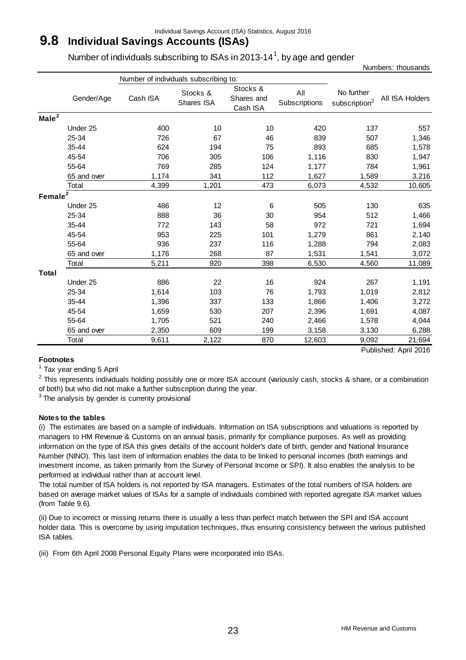# **9.8 Individual Savings Accounts (ISAs)**

Number of individuals subscribing to ISAs in 2013-14<sup>1</sup>, by age and gender

|                   |             | Number of individuals subscribing to: |                        |                                    |                      |                                         |                       |
|-------------------|-------------|---------------------------------------|------------------------|------------------------------------|----------------------|-----------------------------------------|-----------------------|
|                   | Gender/Age  | Cash ISA                              | Stocks &<br>Shares ISA | Stocks &<br>Shares and<br>Cash ISA | All<br>Subscriptions | No further<br>subscription <sup>2</sup> | All ISA Holders       |
| Male <sup>2</sup> |             |                                       |                        |                                    |                      |                                         |                       |
|                   | Under 25    | 400                                   | 10                     | 10                                 | 420                  | 137                                     | 557                   |
|                   | 25-34       | 726                                   | 67                     | 46                                 | 839                  | 507                                     | 1,346                 |
|                   | 35-44       | 624                                   | 194                    | 75                                 | 893                  | 685                                     | 1,578                 |
|                   | 45-54       | 706                                   | 305                    | 106                                | 1,116                | 830                                     | 1,947                 |
|                   | 55-64       | 769                                   | 285                    | 124                                | 1,177                | 784                                     | 1,961                 |
|                   | 65 and over | 1,174                                 | 341                    | 112                                | 1,627                | 1,589                                   | 3,216                 |
|                   | Total       | 4,399                                 | 1,201                  | 473                                | 6,073                | 4,532                                   | 10,605                |
| Female $2$        |             |                                       |                        |                                    |                      |                                         |                       |
|                   | Under 25    | 486                                   | 12                     | 6                                  | 505                  | 130                                     | 635                   |
|                   | 25-34       | 888                                   | 36                     | 30                                 | 954                  | 512                                     | 1,466                 |
|                   | 35-44       | 772                                   | 143                    | 58                                 | 972                  | 721                                     | 1,694                 |
|                   | 45-54       | 953                                   | 225                    | 101                                | 1,279                | 861                                     | 2,140                 |
|                   | 55-64       | 936                                   | 237                    | 116                                | 1,288                | 794                                     | 2,083                 |
|                   | 65 and over | 1,176                                 | 268                    | 87                                 | 1,531                | 1,541                                   | 3,072                 |
|                   | Total       | 5,211                                 | 920                    | 398                                | 6,530                | 4,560                                   | 11,089                |
| <b>Total</b>      |             |                                       |                        |                                    |                      |                                         |                       |
|                   | Under 25    | 886                                   | 22                     | 16                                 | 924                  | 267                                     | 1,191                 |
|                   | 25-34       | 1,614                                 | 103                    | 76                                 | 1,793                | 1,019                                   | 2,812                 |
|                   | 35-44       | 1,396                                 | 337                    | 133                                | 1,866                | 1,406                                   | 3,272                 |
|                   | 45-54       | 1,659                                 | 530                    | 207                                | 2,396                | 1,691                                   | 4,087                 |
|                   | 55-64       | 1,705                                 | 521                    | 240                                | 2,466                | 1,578                                   | 4,044                 |
|                   | 65 and over | 2,350                                 | 609                    | 199                                | 3,158                | 3,130                                   | 6,288                 |
|                   | Total       | 9,611                                 | 2,122                  | 870                                | 12,603               | 9,092                                   | 21,694                |
|                   |             |                                       |                        |                                    |                      |                                         | Published: April 2016 |

# **Footnotes**

<sup>1</sup> Tax year ending 5 April

 $2$  This represents individuals holding possibly one or more ISA account (variously cash, stocks & share, or a combination of both) but who did not make a further subscription during the year.

 $3$  The analysis by gender is currenty provisional

## **Notes to the tables**

(i) The estimates are based on a sample of individuals. Information on ISA subscriptions and valuations is reported by managers to HM Revenue & Customs on an annual basis, primarily for compliance purposes. As well as providing information on the type of ISA this gives details of the account holder's date of birth, gender and National Insurance Number (NINO). This last item of information enables the data to be linked to personal incomes (both earnings and investment income, as taken primarily from the Survey of Personal Income or SPI). It also enables the analysis to be performed at individual rather than at account level.

The total number of ISA holders is not reported by ISA managers. Estimates of the total numbers of ISA holders are based on average market values of ISAs for a sample of individuals combined with reported agregate ISA market values (from Table 9.6).

(ii) Due to incorrect or missing returns there is usually a less than perfect match between the SPI and ISA account holder data. This is overcome by using imputation techniques, thus ensuring consistency between the various published ISA tables.

(iii) From 6th April 2008 Personal Equity Plans were incorporated into ISAs.

Numbers: thousands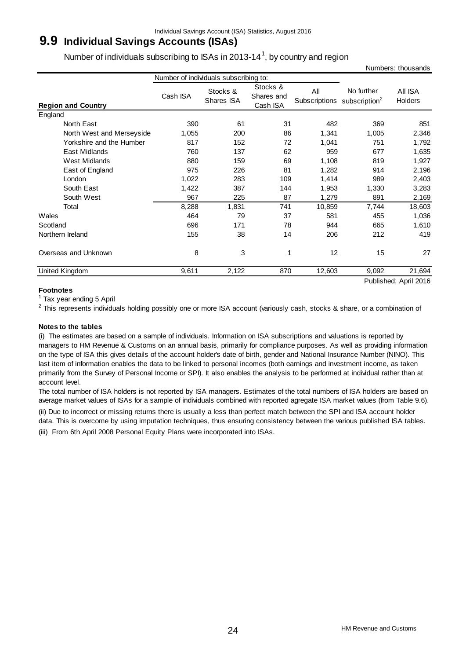# **9.9 Individual Savings Accounts (ISAs)**

Number of individuals subscribing to ISAs in 2013-14<sup>1</sup>, by country and region

|                           | Number of individuals subscribing to: |                        |                                    |                      |                                |                                         |
|---------------------------|---------------------------------------|------------------------|------------------------------------|----------------------|--------------------------------|-----------------------------------------|
| <b>Region and Country</b> | Cash ISA                              | Stocks &<br>Shares ISA | Stocks &<br>Shares and<br>Cash ISA | All<br>Subscriptions | No further<br>subscription $2$ | AII ISA<br><b>Holders</b>               |
| England                   |                                       |                        |                                    |                      |                                |                                         |
| North East                | 390                                   | 61                     | 31                                 | 482                  | 369                            | 851                                     |
| North West and Merseyside | 1,055                                 | 200                    | 86                                 | 1,341                | 1,005                          | 2,346                                   |
| Yorkshire and the Humber  | 817                                   | 152                    | 72                                 | 1,041                | 751                            | 1,792                                   |
| East Midlands             | 760                                   | 137                    | 62                                 | 959                  | 677                            | 1,635                                   |
| West Midlands             | 880                                   | 159                    | 69                                 | 1,108                | 819                            | 1,927                                   |
| East of England           | 975                                   | 226                    | 81                                 | 1,282                | 914                            | 2,196                                   |
| London                    | 1,022                                 | 283                    | 109                                | 1,414                | 989                            | 2,403                                   |
| South East                | 1,422                                 | 387                    | 144                                | 1,953                | 1,330                          | 3,283                                   |
| South West                | 967                                   | 225                    | 87                                 | 1,279                | 891                            | 2,169                                   |
| Total                     | 8,288                                 | 1,831                  | 741                                | 10,859               | 7,744                          | 18,603                                  |
| Wales                     | 464                                   | 79                     | 37                                 | 581                  | 455                            | 1,036                                   |
| Scotland                  | 696                                   | 171                    | 78                                 | 944                  | 665                            | 1,610                                   |
| Northern Ireland          | 155                                   | 38                     | 14                                 | 206                  | 212                            | 419                                     |
| Overseas and Unknown      | 8                                     | 3                      | 1                                  | 12                   | 15                             | 27                                      |
| United Kingdom            | 9,611                                 | 2,122                  | 870                                | 12,603               | 9,092<br>.                     | 21,694<br>$\cdots$ $\sim$ $\sim$ $\sim$ |

Published: April 2016

Numbers: thousands

## **Footnotes**

<sup>1</sup> Tax year ending 5 April

 $^2$  This represents individuals holding possibly one or more ISA account (variously cash, stocks & share, or a combination of

### **Notes to the tables**

(i) The estimates are based on a sample of individuals. Information on ISA subscriptions and valuations is reported by managers to HM Revenue & Customs on an annual basis, primarily for compliance purposes. As well as providing information on the type of ISA this gives details of the account holder's date of birth, gender and National Insurance Number (NINO). This last item of information enables the data to be linked to personal incomes (both earnings and investment income, as taken primarily from the Survey of Personal Income or SPI). It also enables the analysis to be performed at individual rather than at account level.

The total number of ISA holders is not reported by ISA managers. Estimates of the total numbers of ISA holders are based on average market values of ISAs for a sample of individuals combined with reported agregate ISA market values (from Table 9.6).

(ii) Due to incorrect or missing returns there is usually a less than perfect match between the SPI and ISA account holder

data. This is overcome by using imputation techniques, thus ensuring consistency between the various published ISA tables. (iii) From 6th April 2008 Personal Equity Plans were incorporated into ISAs.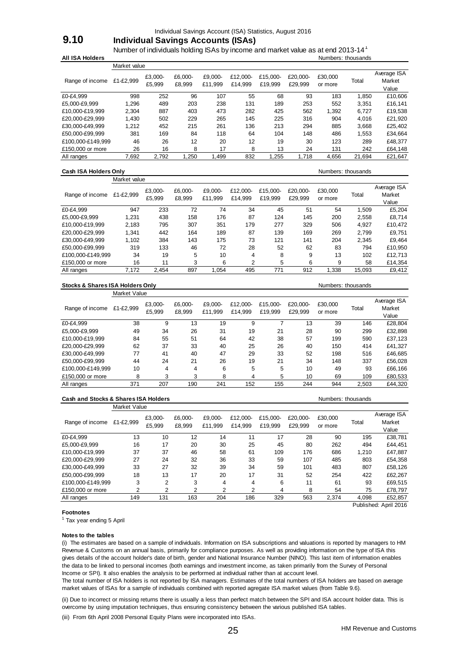Individual Savings Account (ISA) Statistics, August 2016

# **9.10 Individual Savings Accounts (ISAs)**

Number of individuals holding ISAs by income and market value as at end 2013-14<sup>1</sup> **All ISA Holders** Numbers: thousands

|                   | Market value |                   |                   |                    |                     |                     |                     |                    |        |                                |
|-------------------|--------------|-------------------|-------------------|--------------------|---------------------|---------------------|---------------------|--------------------|--------|--------------------------------|
| Range of income   | £1-£2,999    | £3.000-<br>£5,999 | £6.000-<br>£8.999 | £9.000-<br>£11.999 | £12.000-<br>£14.999 | £15.000-<br>£19.999 | £20.000-<br>£29.999 | £30,000<br>or more | Total  | Average ISA<br>Market<br>Value |
| £0-£4,999         | 998          | 252               | 96                | 107                | 55                  | 68                  | 93                  | 183                | 1.850  | £10,606                        |
| £5.000-£9.999     | 1.296        | 489               | 203               | 238                | 131                 | 189                 | 253                 | 552                | 3.351  | £16,141                        |
| £10.000-£19.999   | 2.304        | 887               | 403               | 473                | 282                 | 425                 | 562                 | 1,392              | 6.727  | £19,538                        |
| £20.000-£29.999   | 1.430        | 502               | 229               | 265                | 145                 | 225                 | 316                 | 904                | 4,016  | £21,920                        |
| £30.000-£49.999   | 1.212        | 452               | 215               | 261                | 136                 | 213                 | 294                 | 885                | 3,668  | £25,402                        |
| £50.000-£99.999   | 381          | 169               | 84                | 118                | 64                  | 104                 | 148                 | 486                | 1,553  | £34,664                        |
| £100.000-£149.999 | 46           | 26                | 12                | 20                 | 12                  | 19                  | 30                  | 123                | 289    | £48,377                        |
| £150,000 or more  | 26           | 16                | 8                 | 17                 | 8                   | 13                  | 24                  | 131                | 242    | £64,148                        |
| All ranges        | 7.692        | 2.792             | 1,250             | 1.499              | 832                 | 1.255               | .718                | 4,656              | 21,694 | £21.647                        |

#### **Cash ISA Holders Only Cash ISA Holders Only Numbers:** thousands

|                   | Market value |                   |                   |                    |                     |                     |                     |                    |        |                                |
|-------------------|--------------|-------------------|-------------------|--------------------|---------------------|---------------------|---------------------|--------------------|--------|--------------------------------|
| Range of income   | £1-£2,999    | £3,000-<br>£5,999 | £6.000-<br>£8.999 | £9.000-<br>£11.999 | £12.000-<br>£14.999 | £15.000-<br>£19.999 | £20.000-<br>£29.999 | £30,000<br>or more | Total  | Average ISA<br>Market<br>Value |
| £0-£4.999         | 947          | 233               | 72                | 74                 | 34                  | 45                  | 51                  | 54                 | 1.509  | £5,204                         |
| £5.000-£9.999     | 1.231        | 438               | 158               | 176                | 87                  | 124                 | 145                 | 200                | 2,558  | £8.714                         |
| £10,000-£19,999   | 2.183        | 795               | 307               | 351                | 179                 | 277                 | 329                 | 506                | 4.927  | £10.472                        |
| £20.000-£29.999   | 1.341        | 442               | 164               | 189                | 87                  | 139                 | 169                 | 269                | 2,799  | £9,751                         |
| £30.000-£49.999   | 1,102        | 384               | 143               | 175                | 73                  | 121                 | 141                 | 204                | 2,345  | £9.464                         |
| £50.000-£99.999   | 319          | 133               | 46                | 72                 | 28                  | 52                  | 62                  | 83                 | 794    | £10,950                        |
| £100.000-£149.999 | 34           | 19                | 5                 | 10                 | 4                   | 8                   | 9                   | 13                 | 102    | £12,713                        |
| £150,000 or more  | 16           | 11                | 3                 | 6                  | 2                   | 5                   | 6                   | 9                  | 58     | £14,354                        |
| All ranges        | 7,172        | 2.454             | 897               | 1.054              | 495                 | 771                 | 912                 | 1.338              | 15,093 | £9,412                         |

#### **Stocks & Shares ISA Holders Only Numbers: thousands** Numbers: thousands

|                   | Market Value |                   |                   |                    |                     |                     |                     |                    |       |                                |
|-------------------|--------------|-------------------|-------------------|--------------------|---------------------|---------------------|---------------------|--------------------|-------|--------------------------------|
| Range of income   | £1-£2.999    | £3,000-<br>£5,999 | £6.000-<br>£8.999 | £9.000-<br>£11.999 | £12.000-<br>£14.999 | £15.000-<br>£19.999 | £20.000-<br>£29.999 | £30.000<br>or more | Total | Average ISA<br>Market<br>Value |
| £0-£4.999         | 38           | 9                 | 13                | 19                 | 9                   |                     | 13                  | 39                 | 146   | £28,804                        |
| £5,000-£9,999     | 49           | 34                | 26                | 31                 | 19                  | 21                  | 28                  | 90                 | 299   | £32,898                        |
| £10,000-£19,999   | 84           | 55                | 51                | 64                 | 42                  | 38                  | 57                  | 199                | 590   | £37,123                        |
| £20.000-£29.999   | 62           | 37                | 33                | 40                 | 25                  | 26                  | 40                  | 150                | 414   | £41,327                        |
| £30.000-£49.999   | 77           | 41                | 40                | 47                 | 29                  | 33                  | 52                  | 198                | 516   | £46,685                        |
| £50.000-£99.999   | 44           | 24                | 21                | 26                 | 19                  | 21                  | 34                  | 148                | 337   | £56.028                        |
| £100.000-£149.999 | 10           | 4                 | 4                 | 6                  | 5                   | 5                   | 10                  | 49                 | 93    | £66,166                        |
| £150,000 or more  | 8            | 3                 | 3                 | 8                  | 4                   | 5                   | 10                  | 69                 | 109   | £80,533                        |
| All ranges        | 371          | 207               | 190               | 241                | 152                 | 155                 | 244                 | 944                | 2.503 | £44.320                        |

#### **Cash and Stocks & Shares ISA Holders** Numbers: thousands Numbers: thousands

|                   | Market Value |                   |                   |                    |                     |                     |                     |                    |       |                                |
|-------------------|--------------|-------------------|-------------------|--------------------|---------------------|---------------------|---------------------|--------------------|-------|--------------------------------|
| Range of income   | £1-£2,999    | £3,000-<br>£5.999 | £6.000-<br>£8.999 | £9.000-<br>£11.999 | £12.000-<br>£14.999 | £15.000-<br>£19.999 | £20.000-<br>£29.999 | £30,000<br>or more | Total | Average ISA<br>Market<br>Value |
| £0-£4.999         | 13           | 10                | 12                | 14                 | 11                  | 17                  | 28                  | 90                 | 195   | £38,781                        |
| £5,000-£9,999     | 16           | 17                | 20                | 30                 | 25                  | 45                  | 80                  | 262                | 494   | £44,451                        |
| £10,000-£19,999   | 37           | 37                | 46                | 58                 | 61                  | 109                 | 176                 | 686                | 1.210 | £47,887                        |
| £20.000-£29.999   | 27           | 24                | 32                | 36                 | 33                  | 59                  | 107                 | 485                | 803   | £54,358                        |
| £30.000-£49.999   | 33           | 27                | 32                | 39                 | 34                  | 59                  | 101                 | 483                | 807   | £58,126                        |
| £50.000-£99.999   | 18           | 13                | 17                | 20                 | 17                  | 31                  | 52                  | 254                | 422   | £62,267                        |
| £100.000-£149.999 | 3            | $\overline{2}$    | 3                 | 4                  | 4                   | 6                   | 11                  | 61                 | 93    | £69,515                        |
| £150,000 or more  | 2            | 2                 | 2                 | 2                  | 2                   | 4                   | 8                   | 54                 | 75    | £78,797                        |
| All ranges        | 149          | 131               | 163               | 204                | 186                 | 329                 | 563                 | 2.374              | 4.098 | £52.857                        |

#### **Footnotes**

<sup>1</sup> Tax year ending 5 April

#### **Notes to the tables**

(i) The estimates are based on a sample of individuals. Information on ISA subscriptions and valuations is reported by managers to HM Revenue & Customs on an annual basis, primarily for compliance purposes. As well as providing information on the type of ISA this gives details of the account holder's date of birth, gender and National Insurance Number (NINO). This last item of information enables the data to be linked to personal incomes (both earnings and investment income, as taken primarily from the Survey of Personal Income or SPI). It also enables the analysis to be performed at individual rather than at account level.

The total number of ISA holders is not reported by ISA managers. Estimates of the total numbers of ISA holders are based on average market values of ISAs for a sample of individuals combined with reported agregate ISA market values (from Table 9.6).

(ii) Due to incorrect or missing returns there is usually a less than perfect match between the SPI and ISA account holder data. This is overcome by using imputation techniques, thus ensuring consistency between the various published ISA tables.

(iii) From 6th April 2008 Personal Equity Plans were incorporated into ISAs.

Published: April 2016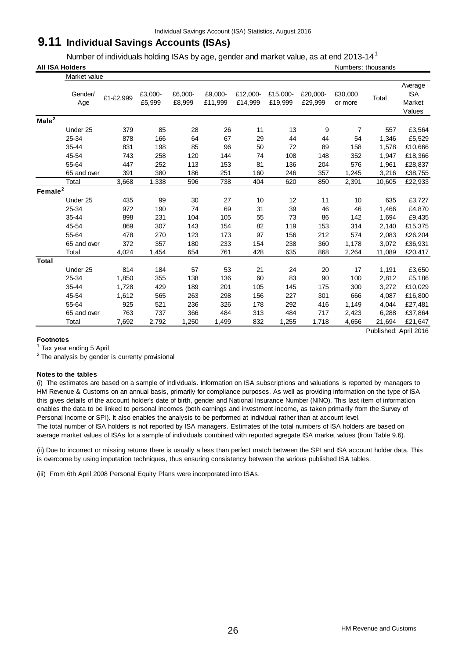# **9.11 Individual Savings Accounts (ISAs)**

Number of individuals holding ISAs by age, gender and market value, as at end 2013-14 $^1$ 

|                   | <b>All ISA Holders</b> |           |                   |                   |                    |                     |                     |                     |                    | Numbers: thousands |                                           |
|-------------------|------------------------|-----------|-------------------|-------------------|--------------------|---------------------|---------------------|---------------------|--------------------|--------------------|-------------------------------------------|
|                   | Market value           |           |                   |                   |                    |                     |                     |                     |                    |                    |                                           |
|                   | Gender/<br>Age         | £1-£2,999 | £3,000-<br>£5,999 | £6,000-<br>£8,999 | £9,000-<br>£11,999 | £12,000-<br>£14,999 | £15,000-<br>£19,999 | £20,000-<br>£29,999 | £30,000<br>or more | Total              | Average<br><b>ISA</b><br>Market<br>Values |
| Male <sup>2</sup> |                        |           |                   |                   |                    |                     |                     |                     |                    |                    |                                           |
|                   | Under 25               | 379       | 85                | 28                | 26                 | 11                  | 13                  | 9                   | $\overline{7}$     | 557                | £3,564                                    |
|                   | 25-34                  | 878       | 166               | 64                | 67                 | 29                  | 44                  | 44                  | 54                 | 1,346              | £5,529                                    |
|                   | 35-44                  | 831       | 198               | 85                | 96                 | 50                  | 72                  | 89                  | 158                | 1,578              | £10,666                                   |
|                   | 45-54                  | 743       | 258               | 120               | 144                | 74                  | 108                 | 148                 | 352                | 1,947              | £18,366                                   |
|                   | 55-64                  | 447       | 252               | 113               | 153                | 81                  | 136                 | 204                 | 576                | 1,961              | £28,837                                   |
|                   | 65 and over            | 391       | 380               | 186               | 251                | 160                 | 246                 | 357                 | 1,245              | 3,216              | £38,755                                   |
|                   | Total                  | 3,668     | 1,338             | 596               | 738                | 404                 | 620                 | 850                 | 2,391              | 10,605             | £22,933                                   |
| Female $2$        |                        |           |                   |                   |                    |                     |                     |                     |                    |                    |                                           |
|                   | Under 25               | 435       | 99                | 30                | 27                 | 10                  | 12                  | 11                  | 10                 | 635                | £3,727                                    |
|                   | 25-34                  | 972       | 190               | 74                | 69                 | 31                  | 39                  | 46                  | 46                 | 1,466              | £4,870                                    |
|                   | 35-44                  | 898       | 231               | 104               | 105                | 55                  | 73                  | 86                  | 142                | 1,694              | £9,435                                    |
|                   | 45-54                  | 869       | 307               | 143               | 154                | 82                  | 119                 | 153                 | 314                | 2,140              | £15,375                                   |
|                   | 55-64                  | 478       | 270               | 123               | 173                | 97                  | 156                 | 212                 | 574                | 2,083              | £26,204                                   |
|                   | 65 and over            | 372       | 357               | 180               | 233                | 154                 | 238                 | 360                 | 1,178              | 3,072              | £36,931                                   |
|                   | Total                  | 4,024     | 1,454             | 654               | 761                | 428                 | 635                 | 868                 | 2,264              | 11,089             | £20,417                                   |
| <b>Total</b>      |                        |           |                   |                   |                    |                     |                     |                     |                    |                    |                                           |
|                   | Under 25               | 814       | 184               | 57                | 53                 | 21                  | 24                  | 20                  | 17                 | 1,191              | £3,650                                    |
|                   | 25-34                  | 1,850     | 355               | 138               | 136                | 60                  | 83                  | 90                  | 100                | 2,812              | £5,186                                    |
|                   | 35-44                  | 1,728     | 429               | 189               | 201                | 105                 | 145                 | 175                 | 300                | 3,272              | £10,029                                   |
|                   | 45-54                  | 1,612     | 565               | 263               | 298                | 156                 | 227                 | 301                 | 666                | 4,087              | £16,800                                   |
|                   | 55-64                  | 925       | 521               | 236               | 326                | 178                 | 292                 | 416                 | 1,149              | 4,044              | £27,481                                   |
|                   | 65 and over            | 763       | 737               | 366               | 484                | 313                 | 484                 | 717                 | 2,423              | 6,288              | £37,864                                   |
|                   | Total                  | 7,692     | 2,792             | 1,250             | 1,499              | 832                 | 1,255               | 1,718               | 4,656              | 21,694             | £21,647                                   |

Published: April 2016

## **Footnotes**

1 Tax year ending 5 April

 $2$  The analysis by gender is currenty provisional

#### **Notes to the tables**

(i) The estimates are based on a sample of individuals. Information on ISA subscriptions and valuations is reported by managers to HM Revenue & Customs on an annual basis, primarily for compliance purposes. As well as providing information on the type of ISA this gives details of the account holder's date of birth, gender and National Insurance Number (NINO). This last item of information enables the data to be linked to personal incomes (both earnings and investment income, as taken primarily from the Survey of Personal Income or SPI). It also enables the analysis to be performed at individual rather than at account level. The total number of ISA holders is not reported by ISA managers. Estimates of the total numbers of ISA holders are based on average market values of ISAs for a sample of individuals combined with reported agregate ISA market values (from Table 9.6).

(ii) Due to incorrect or missing returns there is usually a less than perfect match between the SPI and ISA account holder data. This is overcome by using imputation techniques, thus ensuring consistency between the various published ISA tables.

(iii) From 6th April 2008 Personal Equity Plans were incorporated into ISAs.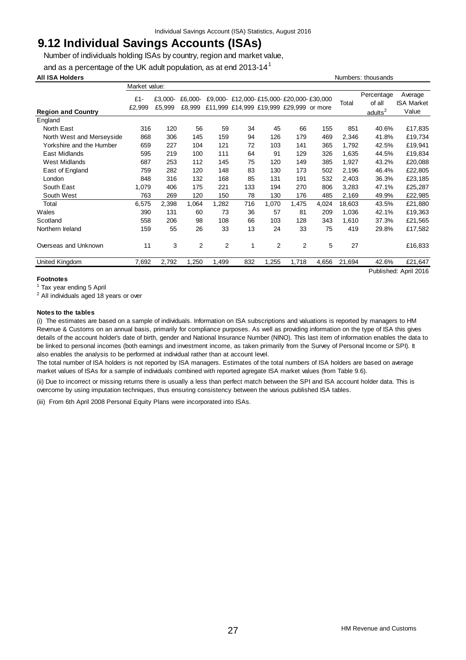# **9.12 Individual Savings Accounts (ISAs)**

Number of individuals holding ISAs by country, region and market value,

and as a percentage of the UK adult population, as at end 2013-14 $^1$ 

#### **All ISA Holders** Numbers: thousands

|                           | Market value: |         |                |                |     |                |                                         |                                        |        |                      |                              |
|---------------------------|---------------|---------|----------------|----------------|-----|----------------|-----------------------------------------|----------------------------------------|--------|----------------------|------------------------------|
|                           | $£1-$         | £3,000- | £6,000-        |                |     |                |                                         | £9,000 £12,000 £15,000 £20,000 £30,000 | Total  | Percentage<br>of all | Average<br><b>ISA Market</b> |
| <b>Region and Country</b> | £2,999        | £5,999  | £8,999         |                |     |                | £11,999 £14,999 £19,999 £29,999 or more |                                        |        | adults <sup>2</sup>  | Value                        |
| England                   |               |         |                |                |     |                |                                         |                                        |        |                      |                              |
| North East                | 316           | 120     | 56             | 59             | 34  | 45             | 66                                      | 155                                    | 851    | 40.6%                | £17,835                      |
| North West and Merseyside | 868           | 306     | 145            | 159            | 94  | 126            | 179                                     | 469                                    | 2,346  | 41.8%                | £19,734                      |
| Yorkshire and the Humber  | 659           | 227     | 104            | 121            | 72  | 103            | 141                                     | 365                                    | 1,792  | 42.5%                | £19,941                      |
| East Midlands             | 595           | 219     | 100            | 111            | 64  | 91             | 129                                     | 326                                    | 1.635  | 44.5%                | £19,834                      |
| <b>West Midlands</b>      | 687           | 253     | 112            | 145            | 75  | 120            | 149                                     | 385                                    | 1,927  | 43.2%                | £20,088                      |
| East of England           | 759           | 282     | 120            | 148            | 83  | 130            | 173                                     | 502                                    | 2,196  | 46.4%                | £22,805                      |
| London                    | 848           | 316     | 132            | 168            | 85  | 131            | 191                                     | 532                                    | 2,403  | 36.3%                | £23,185                      |
| South East                | 1,079         | 406     | 175            | 221            | 133 | 194            | 270                                     | 806                                    | 3,283  | 47.1%                | £25,287                      |
| South West                | 763           | 269     | 120            | 150            | 78  | 130            | 176                                     | 485                                    | 2,169  | 49.9%                | £22,985                      |
| Total                     | 6,575         | 2,398   | 1,064          | 1,282          | 716 | 1,070          | 1,475                                   | 4,024                                  | 18,603 | 43.5%                | £21,880                      |
| Wales                     | 390           | 131     | 60             | 73             | 36  | 57             | 81                                      | 209                                    | 1,036  | 42.1%                | £19,363                      |
| Scotland                  | 558           | 206     | 98             | 108            | 66  | 103            | 128                                     | 343                                    | 1,610  | 37.3%                | £21,565                      |
| Northern Ireland          | 159           | 55      | 26             | 33             | 13  | 24             | 33                                      | 75                                     | 419    | 29.8%                | £17,582                      |
| Overseas and Unknown      | 11            | 3       | $\overline{2}$ | $\overline{2}$ | 1   | $\overline{2}$ | $\overline{2}$                          | 5                                      | 27     |                      | £16,833                      |
| United Kingdom            | 7,692         | 2,792   | 1,250          | 1,499          | 832 | 1,255          | 1,718                                   | 4,656                                  | 21,694 | 42.6%                | £21,647                      |
|                           |               |         |                |                |     |                |                                         |                                        |        |                      | Published: April 2016        |

#### **Footnotes**

<sup>1</sup> Tax year ending 5 April

 $2$  All individuals aged 18 years or over

#### **Notes to the tables**

(i) The estimates are based on a sample of individuals. Information on ISA subscriptions and valuations is reported by managers to HM Revenue & Customs on an annual basis, primarily for compliance purposes. As well as providing information on the type of ISA this gives details of the account holder's date of birth, gender and National Insurance Number (NINO). This last item of information enables the data to be linked to personal incomes (both earnings and investment income, as taken primarily from the Survey of Personal Income or SPI). It also enables the analysis to be performed at individual rather than at account level.

The total number of ISA holders is not reported by ISA managers. Estimates of the total numbers of ISA holders are based on average market values of ISAs for a sample of individuals combined with reported agregate ISA market values (from Table 9.6).

(ii) Due to incorrect or missing returns there is usually a less than perfect match between the SPI and ISA account holder data. This is overcome by using imputation techniques, thus ensuring consistency between the various published ISA tables.

(iii) From 6th April 2008 Personal Equity Plans were incorporated into ISAs.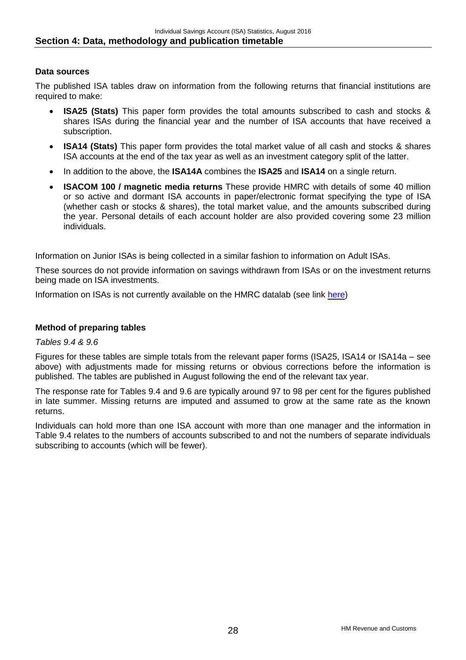# **Data sources**

The published ISA tables draw on information from the following returns that financial institutions are required to make:

- **ISA25 (Stats)** This paper form provides the total amounts subscribed to cash and stocks & shares ISAs during the financial year and the number of ISA accounts that have received a subscription.
- **ISA14 (Stats)** This paper form provides the total market value of all cash and stocks & shares ISA accounts at the end of the tax year as well as an investment category split of the latter.
- In addition to the above, the **ISA14A** combines the **ISA25** and **ISA14** on a single return.
- **ISACOM 100 / magnetic media returns** These provide HMRC with details of some 40 million or so active and dormant ISA accounts in paper/electronic format specifying the type of ISA (whether cash or stocks & shares), the total market value, and the amounts subscribed during the year. Personal details of each account holder are also provided covering some 23 million individuals.

Information on Junior ISAs is being collected in a similar fashion to information on Adult ISAs.

These sources do not provide information on savings withdrawn from ISAs or on the investment returns being made on ISA investments.

Information on ISAs is not currently available on the HMRC datalab (see link [here\)](http://www.hmrc.gov.uk/datalab/)

# **Method of preparing tables**

# *Tables 9.4 & 9.6*

Figures for these tables are simple totals from the relevant paper forms (ISA25, ISA14 or ISA14a – see above) with adjustments made for missing returns or obvious corrections before the information is published. The tables are published in August following the end of the relevant tax year.

The response rate for Tables 9.4 and 9.6 are typically around 97 to 98 per cent for the figures published in late summer. Missing returns are imputed and assumed to grow at the same rate as the known returns.

Individuals can hold more than one ISA account with more than one manager and the information in Table 9.4 relates to the numbers of accounts subscribed to and not the numbers of separate individuals subscribing to accounts (which will be fewer).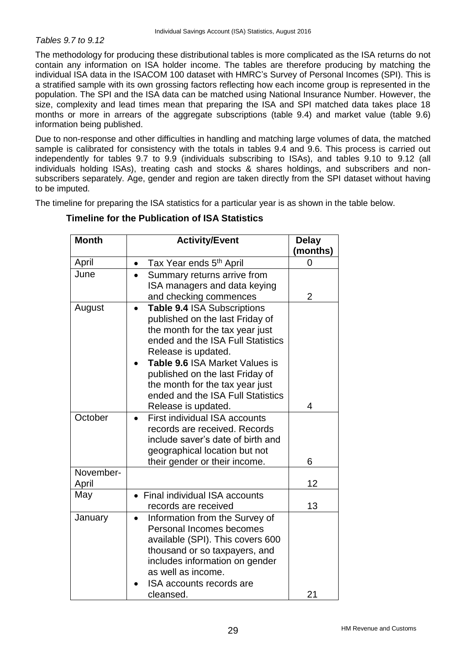# *Tables 9.7 to 9.12*

The methodology for producing these distributional tables is more complicated as the ISA returns do not contain any information on ISA holder income. The tables are therefore producing by matching the individual ISA data in the ISACOM 100 dataset with HMRC's Survey of Personal Incomes (SPI). This is a stratified sample with its own grossing factors reflecting how each income group is represented in the population. The SPI and the ISA data can be matched using National Insurance Number. However, the size, complexity and lead times mean that preparing the ISA and SPI matched data takes place 18 months or more in arrears of the aggregate subscriptions (table 9.4) and market value (table 9.6) information being published.

Due to non-response and other difficulties in handling and matching large volumes of data, the matched sample is calibrated for consistency with the totals in tables 9.4 and 9.6. This process is carried out independently for tables 9.7 to 9.9 (individuals subscribing to ISAs), and tables 9.10 to 9.12 (all individuals holding ISAs), treating cash and stocks & shares holdings, and subscribers and nonsubscribers separately. Age, gender and region are taken directly from the SPI dataset without having to be imputed.

The timeline for preparing the ISA statistics for a particular year is as shown in the table below.

| <b>Month</b>       | <b>Activity/Event</b>                                                                                                                                                                                                                                                                                                             | <b>Delay</b><br>(months) |
|--------------------|-----------------------------------------------------------------------------------------------------------------------------------------------------------------------------------------------------------------------------------------------------------------------------------------------------------------------------------|--------------------------|
| April              | Tax Year ends 5 <sup>th</sup> April<br>$\bullet$                                                                                                                                                                                                                                                                                  | 0                        |
| June               | Summary returns arrive from<br>ISA managers and data keying<br>and checking commences                                                                                                                                                                                                                                             | 2                        |
| August             | Table 9.4 ISA Subscriptions<br>published on the last Friday of<br>the month for the tax year just<br>ended and the ISA Full Statistics<br>Release is updated.<br>Table 9.6 ISA Market Values is<br>published on the last Friday of<br>the month for the tax year just<br>ended and the ISA Full Statistics<br>Release is updated. | 4                        |
| October            | <b>First individual ISA accounts</b><br>records are received. Records<br>include saver's date of birth and<br>geographical location but not<br>their gender or their income.                                                                                                                                                      | 6                        |
| November-<br>April |                                                                                                                                                                                                                                                                                                                                   | 12                       |
| May                | Final individual ISA accounts<br>records are received                                                                                                                                                                                                                                                                             | 13                       |
| January            | Information from the Survey of<br>Personal Incomes becomes<br>available (SPI). This covers 600<br>thousand or so taxpayers, and<br>includes information on gender<br>as well as income.<br>ISA accounts records are<br>cleansed.                                                                                                  | 21                       |

# **Timeline for the Publication of ISA Statistics**